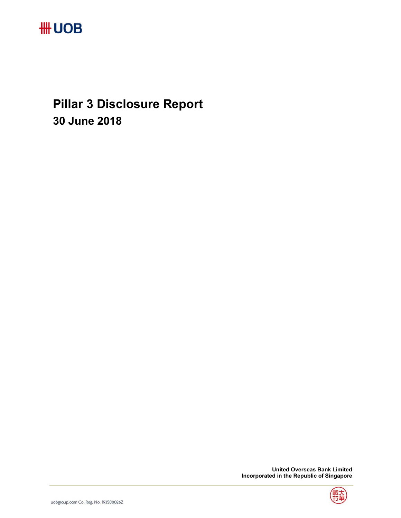

**Pillar 3 Disclosure Report 30 June 2018** 

> **United Overseas Bank Limited Incorporated in the Republic of Singapore**

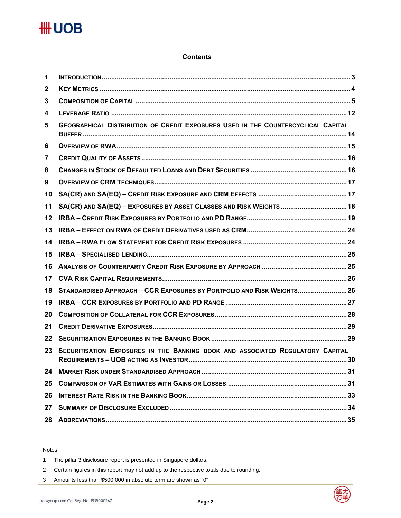### **Contents**

| 1            |                                                                                   |
|--------------|-----------------------------------------------------------------------------------|
| $\mathbf{2}$ |                                                                                   |
| 3            |                                                                                   |
| 4            |                                                                                   |
| 5            | GEOGRAPHICAL DISTRIBUTION OF CREDIT EXPOSURES USED IN THE COUNTERCYCLICAL CAPITAL |
| 6            |                                                                                   |
| 7            |                                                                                   |
| 8            |                                                                                   |
| 9            |                                                                                   |
| 10           |                                                                                   |
| 11           | SA(CR) AND SA(EQ) - EXPOSURES BY ASSET CLASSES AND RISK WEIGHTS  18               |
| 12           |                                                                                   |
| 13           |                                                                                   |
| 14           |                                                                                   |
|              |                                                                                   |
| 15           |                                                                                   |
| 16           |                                                                                   |
| 17           |                                                                                   |
| 18           | STANDARDISED APPROACH - CCR EXPOSURES BY PORTFOLIO AND RISK WEIGHTS 26            |
| 19           |                                                                                   |
| 20           |                                                                                   |
| 21           |                                                                                   |
| 22           |                                                                                   |
| 23           | SECURITISATION EXPOSURES IN THE BANKING BOOK AND ASSOCIATED REGULATORY CAPITAL    |
| 24           |                                                                                   |
| 25           |                                                                                   |
| 26           |                                                                                   |
| 27           |                                                                                   |

#### Notes:

1 The pillar 3 disclosure report is presented in Singapore dollars.

- 2 Certain figures in this report may not add up to the respective totals due to rounding.
- 3 Amounts less than \$500,000 in absolute term are shown as "0".

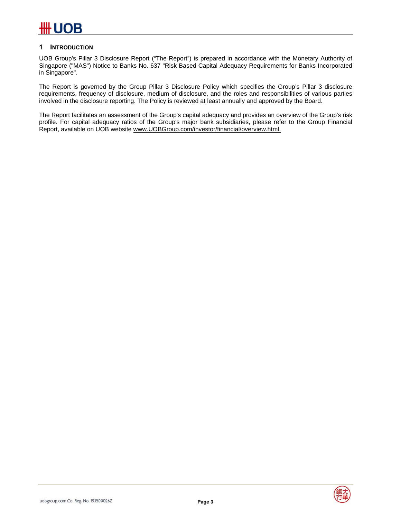### **1 INTRODUCTION**

UOB Group's Pillar 3 Disclosure Report ("The Report") is prepared in accordance with the Monetary Authority of Singapore ("MAS") Notice to Banks No. 637 "Risk Based Capital Adequacy Requirements for Banks Incorporated in Singapore".

The Report is governed by the Group Pillar 3 Disclosure Policy which specifies the Group's Pillar 3 disclosure requirements, frequency of disclosure, medium of disclosure, and the roles and responsibilities of various parties involved in the disclosure reporting. The Policy is reviewed at least annually and approved by the Board.

The Report facilitates an assessment of the Group's capital adequacy and provides an overview of the Group's risk profile. For capital adequacy ratios of the Group's major bank subsidiaries, please refer to the Group Financial Report, available on UOB website www.UOBGroup.com/investor/financial/overview.html.

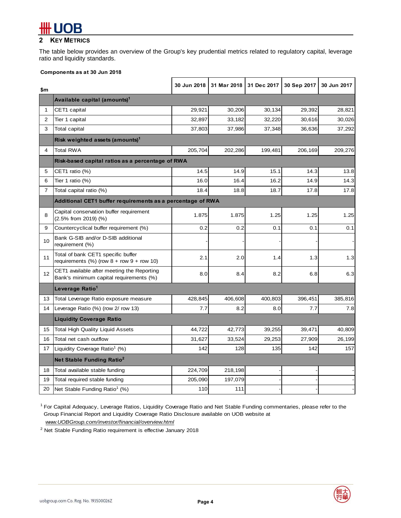## **2 KEY METRICS**

The table below provides an overview of the Group's key prudential metrics related to regulatory capital, leverage ratio and liquidity standards.

#### **Components as at 30 Jun 2018**

| \$m            |                                                                                        | 30 Jun 2018 |         | 31 Mar 2018 31 Dec 2017 | 30 Sep 2017 | 30 Jun 2017 |
|----------------|----------------------------------------------------------------------------------------|-------------|---------|-------------------------|-------------|-------------|
|                | Available capital (amounts) <sup>1</sup>                                               |             |         |                         |             |             |
| $\mathbf{1}$   | CET1 capital                                                                           | 29,921      | 30,206  | 30,134                  | 29,392      | 28,821      |
| $\overline{2}$ | Tier 1 capital                                                                         | 32,897      | 33,182  | 32,220                  | 30,616      | 30,026      |
| 3              | <b>Total capital</b>                                                                   | 37,803      | 37,986  | 37,348                  | 36,636      | 37,292      |
|                | Risk weighted assets (amounts) <sup>1</sup>                                            |             |         |                         |             |             |
| 4              | <b>Total RWA</b>                                                                       | 205,704     | 202,286 | 199,481                 | 206,169     | 209,276     |
|                | Risk-based capital ratios as a percentage of RWA                                       |             |         |                         |             |             |
| 5              | CET1 ratio (%)                                                                         | 14.5        | 14.9    | 15.1                    | 14.3        | 13.8        |
| 6              | Tier 1 ratio (%)                                                                       | 16.0        | 16.4    | 16.2                    | 14.9        | 14.3        |
| $\overline{7}$ | Total capital ratio (%)                                                                | 18.4        | 18.8    | 18.7                    | 17.8        | 17.8        |
|                | Additional CET1 buffer requirements as a percentage of RWA                             |             |         |                         |             |             |
| 8              | Capital conservation buffer requirement<br>(2.5% from 2019) (%)                        | 1.875       | 1.875   | 1.25                    | 1.25        | 1.25        |
| 9              | Countercyclical buffer requirement (%)                                                 | 0.2         | 0.2     | 0.1                     | 0.1         | 0.1         |
| 10             | Bank G-SIB and/or D-SIB additional<br>requirement (%)                                  |             |         |                         |             |             |
| 11             | Total of bank CET1 specific buffer<br>requirements $(\%)$ (row $8 +$ row $9 +$ row 10) | 2.1         | 2.0     | 1.4                     | 1.3         | 1.3         |
| 12             | CET1 available after meeting the Reporting<br>Bank's minimum capital requirements (%)  | 8.0         | 8.4     | 8.2                     | 6.8         | 6.3         |
|                | Leverage Ratio <sup>1</sup>                                                            |             |         |                         |             |             |
| 13             | Total Leverage Ratio exposure measure                                                  | 428,845     | 406,608 | 400,803                 | 396,451     | 385,816     |
| 14             | Leverage Ratio (%) (row 2/row 13)                                                      | 7.7         | 8.2     | 8.0                     | 7.7         | 7.8         |
|                | <b>Liquidity Coverage Ratio</b>                                                        |             |         |                         |             |             |
| 15             | <b>Total High Quality Liquid Assets</b>                                                | 44,722      | 42,773  | 39,255                  | 39,471      | 40,809      |
| 16             | Total net cash outflow                                                                 | 31,627      | 33,524  | 29,253                  | 27,909      | 26,199      |
| 17             | Liquidity Coverage Ratio <sup>1</sup> (%)                                              | 142         | 128     | 135                     | 142         | 157         |
|                | Net Stable Funding Ratio <sup>2</sup>                                                  |             |         |                         |             |             |
| 18             | Total available stable funding                                                         | 224,709     | 218,198 |                         |             |             |
| 19             | Total required stable funding                                                          | 205,090     | 197,079 |                         |             |             |
| 20             | Net Stable Funding Ratio <sup>1</sup> (%)                                              | 110         | 111     |                         |             |             |

<sup>1</sup> For Capital Adequacy, Leverage Ratios, Liquidity Coverage Ratio and Net Stable Funding commentaries, please refer to the Group Financial Report and Liquidity Coverage Ratio Disclosure available on UOB website at *www.UOBGroup.com/investor/financial/overview.html*

<sup>2</sup> Net Stable Funding Ratio requirement is effective January 2018

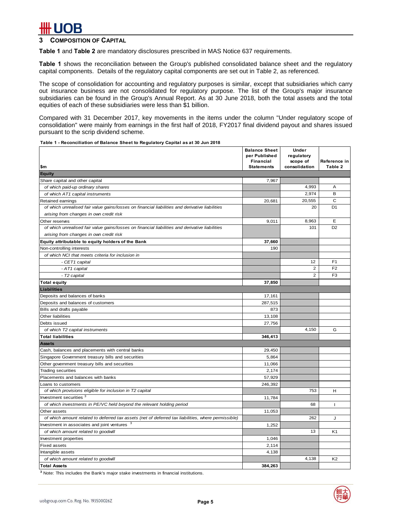### **3 COMPOSITION OF CAPITAL**

**Table 1** and **Table 2** are mandatory disclosures prescribed in MAS Notice 637 requirements.

**Table 1** shows the reconciliation between the Group's published consolidated balance sheet and the regulatory capital components. Details of the regulatory capital components are set out in Table 2, as referenced.

The scope of consolidation for accounting and regulatory purposes is similar, except that subsidiaries which carry out insurance business are not consolidated for regulatory purpose. The list of the Group's major insurance subsidiaries can be found in the Group's Annual Report. As at 30 June 2018, both the total assets and the total equities of each of these subsidiaries were less than \$1 billion.

Compared with 31 December 2017, key movements in the items under the column "Under regulatory scope of consolidation" were mainly from earnings in the first half of 2018, FY2017 final dividend payout and shares issued pursuant to the scrip dividend scheme.

**Table 1 - Reconciliation of Balance Sheet to Regulatory Capital as at 30 Jun 2018**

|                                                                                                                   | <b>Balance Sheet</b><br>per Published<br>Financial | <b>Under</b><br>regulatory<br>scope of | Reference in   |
|-------------------------------------------------------------------------------------------------------------------|----------------------------------------------------|----------------------------------------|----------------|
| \$m                                                                                                               | <b>Statements</b>                                  | consolidation                          | Table 2        |
| <b>Equity</b>                                                                                                     | 7,967                                              |                                        |                |
| Share capital and other capital                                                                                   |                                                    | 4,993                                  | A              |
| of which paid-up ordinary shares                                                                                  |                                                    | 2,974                                  | B              |
| of which AT1 capital instruments                                                                                  |                                                    | 20,555                                 | $\mathsf{C}$   |
| Retained earnings                                                                                                 | 20,681                                             | 20                                     | D <sub>1</sub> |
| of which unrealised fair value gains/losses on financial liabilities and derivative liabilities                   |                                                    |                                        |                |
| arising from changes in own credit risk                                                                           |                                                    | 8,963                                  | E              |
| Other reserves<br>of which unrealised fair value gains/losses on financial liabilities and derivative liabilities | 9,011                                              | 101                                    | D <sub>2</sub> |
| arising from changes in own credit risk                                                                           |                                                    |                                        |                |
|                                                                                                                   |                                                    |                                        |                |
| Equity attributable to equity holders of the Bank                                                                 | 37,660<br>190                                      |                                        |                |
| Non-controlling interests<br>of which NCI that meets criteria for inclusion in                                    |                                                    |                                        |                |
| - CET1 capital                                                                                                    |                                                    | 12                                     | F <sub>1</sub> |
| - AT1 capital                                                                                                     |                                                    | $\overline{2}$                         | F <sub>2</sub> |
| - T2 capital                                                                                                      |                                                    | 2                                      | F <sub>3</sub> |
|                                                                                                                   | 37,850                                             |                                        |                |
| <b>Total equity</b><br><b>Liabilities</b>                                                                         |                                                    |                                        |                |
| Deposits and balances of banks                                                                                    | 17,161                                             |                                        |                |
| Deposits and balances of customers                                                                                | 287,515                                            |                                        |                |
| Bills and drafts payable                                                                                          | 873                                                |                                        |                |
| Other liabilities                                                                                                 | 13,108                                             |                                        |                |
| Debts issued                                                                                                      | 27,756                                             |                                        |                |
| of which T2 capital instruments                                                                                   |                                                    | 4,150                                  | G              |
| <b>Total liabilities</b>                                                                                          | 346,413                                            |                                        |                |
| <b>Assets</b>                                                                                                     |                                                    |                                        |                |
| Cash, balances and placements with central banks                                                                  | 29,450                                             |                                        |                |
| Singapore Government treasury bills and securities                                                                | 5,864                                              |                                        |                |
| Other government treasury bills and securities                                                                    | 11,066                                             |                                        |                |
| <b>Trading securities</b>                                                                                         | 2,174                                              |                                        |                |
| Placements and balances with banks                                                                                | 57,929                                             |                                        |                |
| Loans to customers                                                                                                | 246,392                                            |                                        |                |
| of which provisions eligible for inclusion in T2 capital                                                          |                                                    | 753                                    | H              |
| Investment securities <sup>3</sup>                                                                                | 11,784                                             |                                        |                |
| of which investments in PE/VC held beyond the relevant holding period                                             |                                                    | 68                                     | L              |
| Other assets                                                                                                      | 11,053                                             |                                        |                |
| of which amount related to deferred tax assets (net of deferred tax liabilities, where permissible)               |                                                    | 262                                    | J              |
| Investment in associates and joint ventures                                                                       | 1,252                                              |                                        |                |
| of which amount related to goodwill                                                                               |                                                    | 13                                     | K <sub>1</sub> |
| Investment properties                                                                                             | 1,046                                              |                                        |                |
| <b>Fixed assets</b>                                                                                               | 2,114                                              |                                        |                |
| Intangible assets                                                                                                 | 4,138                                              |                                        |                |
| of which amount related to goodwill                                                                               |                                                    | 4,138                                  | K <sub>2</sub> |
| <b>Total Assets</b>                                                                                               | 384,263                                            |                                        |                |

**3** Note: This includes the Bank's major stake investments in financial institutions.

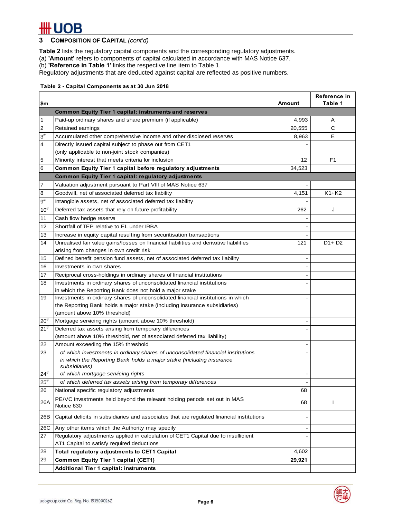**3 COMPOSITION OF CAPITAL** *(cont'd)* 

**Table 2** lists the regulatory capital components and the corresponding regulatory adjustments.

(a) **'Amount'** refers to components of capital calculated in accordance with MAS Notice 637.

(b) **'Reference in Table 1'** links the respective line item to Table 1.

Regulatory adjustments that are deducted against capital are reflected as positive numbers.

#### **Table 2 - Capital Components as at 30 Jun 2018**

| \$m            |                                                                                           | Amount | Reference in<br>Table 1 |
|----------------|-------------------------------------------------------------------------------------------|--------|-------------------------|
|                | <b>Common Equity Tier 1 capital: instruments and reserves</b>                             |        |                         |
| 1              | Paid-up ordinary shares and share premium (if applicable)                                 | 4,993  | Α                       |
| $\overline{2}$ | Retained earnings                                                                         | 20,555 | $\mathsf{C}$            |
| $3^{\#}$       | Accumulated other comprehensive income and other disclosed reserves                       | 8,963  | E                       |
| 4              | Directly issued capital subject to phase out from CET1                                    |        |                         |
|                | (only applicable to non-joint stock companies)                                            |        |                         |
| 5              | Minority interest that meets criteria for inclusion                                       | 12     | F1                      |
| 6              | Common Equity Tier 1 capital before regulatory adjustments                                | 34,523 |                         |
|                | <b>Common Equity Tier 1 capital: regulatory adjustments</b>                               |        |                         |
| 7              | Valuation adjustment pursuant to Part VIII of MAS Notice 637                              |        |                         |
| 8              | Goodwill, net of associated deferred tax liability                                        | 4,151  | $K1+K2$                 |
| $9^{\#}$       | Intangible assets, net of associated deferred tax liability                               |        |                         |
| $10^{#}$       | Deferred tax assets that rely on future profitability                                     | 262    | J                       |
| 11             | Cash flow hedge reserve                                                                   |        |                         |
| 12             | Shortfall of TEP relative to EL under IRBA                                                |        |                         |
| 13             | Increase in equity capital resulting from securitisation transactions                     |        |                         |
| 14             | Unrealised fair value gains/losses on financial liabilities and derivative liabilities    | 121    | $D1 + D2$               |
|                | arising from changes in own credit risk                                                   |        |                         |
| 15             | Defined benefit pension fund assets, net of associated deferred tax liability             |        |                         |
| 16             | Investments in own shares                                                                 |        |                         |
| 17             | Reciprocal cross-holdings in ordinary shares of financial institutions                    |        |                         |
| 18             | Investments in ordinary shares of unconsolidated financial institutions                   |        |                         |
|                | in which the Reporting Bank does not hold a major stake                                   |        |                         |
| 19             | Investments in ordinary shares of unconsolidated financial institutions in which          |        |                         |
|                | the Reporting Bank holds a major stake (including insurance subsidiaries)                 |        |                         |
|                | (amount above 10% threshold)                                                              |        |                         |
| $20^{#}$       | Mortgage servicing rights (amount above 10% threshold)                                    |        |                         |
| $21^{#}$       | Deferred tax assets arising from temporary differences                                    |        |                         |
|                | (amount above 10% threshold, net of associated deferred tax liability)                    |        |                         |
| 22             | Amount exceeding the 15% threshold                                                        |        |                         |
| 23             | of which investments in ordinary shares of unconsolidated financial institutions          |        |                         |
|                | in which the Reporting Bank holds a major stake (including insurance<br>subsidiaries)     |        |                         |
| $24^{\#}$      | of which mortgage servicing rights                                                        |        |                         |
| $25^{\rm \#}$  | of which deferred tax assets arising from temporary differences                           |        |                         |
| 26             | National specific regulatory adjustments                                                  | 68     |                         |
|                | PE/VC investments held beyond the relevant holding periods set out in MAS                 |        |                         |
| 26A            | Notice 630                                                                                | 68     | T                       |
| 26B            | Capital deficits in subsidiaries and associates that are regulated financial institutions |        |                         |
| 26C            | Any other items which the Authority may specify                                           |        |                         |
| 27             | Regulatory adjustments applied in calculation of CET1 Capital due to insufficient         |        |                         |
|                | AT1 Capital to satisfy required deductions                                                |        |                         |
| 28             | Total regulatory adjustments to CET1 Capital                                              | 4,602  |                         |
| 29             | <b>Common Equity Tier 1 capital (CET1)</b>                                                | 29,921 |                         |
|                | <b>Additional Tier 1 capital: instruments</b>                                             |        |                         |

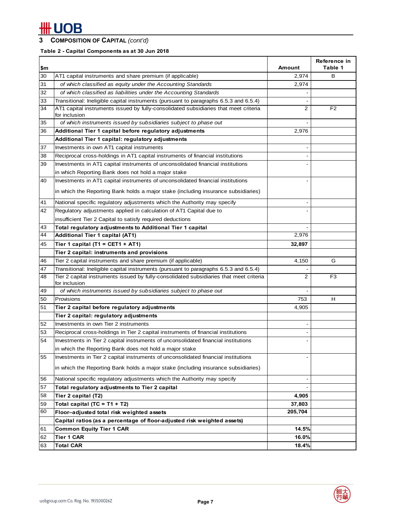## **3 COMPOSITION OF CAPITAL** *(cont'd)*

### **Table 2 - Capital Components as at 30 Jun 2018**

|     |                                                                                                       |                | Reference in   |
|-----|-------------------------------------------------------------------------------------------------------|----------------|----------------|
| \$m |                                                                                                       | Amount         | Table 1        |
| 30  | AT1 capital instruments and share premium (if applicable)                                             | 2,974          | в              |
| 31  | of which classified as equity under the Accounting Standards                                          | 2,974          |                |
| 32  | of which classified as liabilities under the Accounting Standards                                     |                |                |
| 33  | Transitional: Ineligible capital instruments (pursuant to paragraphs 6.5.3 and 6.5.4)                 |                |                |
| 34  | AT1 capital instruments issued by fully-consolidated subsidiaries that meet criteria<br>for inclusion | $\overline{2}$ | F <sub>2</sub> |
| 35  | of which instruments issued by subsidiaries subject to phase out                                      |                |                |
| 36  | Additional Tier 1 capital before regulatory adjustments                                               | 2,976          |                |
|     | Additional Tier 1 capital: regulatory adjustments                                                     |                |                |
| 37  | Investments in own AT1 capital instruments                                                            |                |                |
| 38  | Reciprocal cross-holdings in AT1 capital instruments of financial institutions                        |                |                |
| 39  | Investments in AT1 capital instruments of unconsolidated financial institutions                       |                |                |
|     | in which Reporting Bank does not hold a major stake                                                   |                |                |
| 40  | Investments in AT1 capital instruments of unconsolidated financial institutions                       |                |                |
|     | in which the Reporting Bank holds a major stake (including insurance subsidiaries)                    |                |                |
| 41  | National specific regulatory adjustments which the Authority may specify                              |                |                |
| 42  | Regulatory adjustments applied in calculation of AT1 Capital due to                                   |                |                |
|     | insufficient Tier 2 Capital to satisfy required deductions                                            |                |                |
| 43  | Total regulatory adjustments to Additional Tier 1 capital                                             |                |                |
| 44  | <b>Additional Tier 1 capital (AT1)</b>                                                                | 2,976          |                |
| 45  | Tier 1 capital (T1 = CET1 + AT1)                                                                      | 32,897         |                |
|     | Tier 2 capital: instruments and provisions                                                            |                |                |
| 46  | Tier 2 capital instruments and share premium (if applicable)                                          | 4,150          | G              |
| 47  | Transitional: Ineligible capital instruments (pursuant to paragraphs 6.5.3 and 6.5.4)                 |                |                |
| 48  | Tier 2 capital instruments issued by fully-consolidated subsidiaries that meet criteria               | $\overline{2}$ | F <sub>3</sub> |
|     | for inclusion                                                                                         |                |                |
| 49  | of which instruments issued by subsidiaries subject to phase out                                      |                |                |
| 50  | Provisions                                                                                            | 753            | н              |
| 51  | Tier 2 capital before regulatory adjustments                                                          | 4,905          |                |
|     | Tier 2 capital: regulatory adjustments                                                                |                |                |
| 52  | Investments in own Tier 2 instruments                                                                 |                |                |
| 53  | Reciprocal cross-holdings in Tier 2 capital instruments of financial institutions                     |                |                |
| 54  | Investments in Tier 2 capital instruments of unconsolidated financial institutions                    |                |                |
|     | in which the Reporting Bank does not hold a major stake                                               |                |                |
| 55  | Investments in Tier 2 capital instruments of unconsolidated financial institutions                    |                |                |
|     | in which the Reporting Bank holds a major stake (including insurance subsidiaries)                    |                |                |
| 56  | National specific regulatory adjustments which the Authority may specify                              |                |                |
| 57  | Total regulatory adjustments to Tier 2 capital                                                        |                |                |
| 58  | Tier 2 capital (T2)                                                                                   | 4,905          |                |
| 59  | Total capital $(TC = T1 + T2)$                                                                        | 37,803         |                |
| 60  | Floor-adjusted total risk weighted assets                                                             | 205.704        |                |
|     | Capital ratios (as a percentage of floor-adjusted risk weighted assets)                               |                |                |
| 61  | <b>Common Equity Tier 1 CAR</b>                                                                       | 14.5%          |                |
| 62  | <b>Tier 1 CAR</b>                                                                                     | 16.0%          |                |
| 63  | <b>Total CAR</b>                                                                                      | 18.4%          |                |

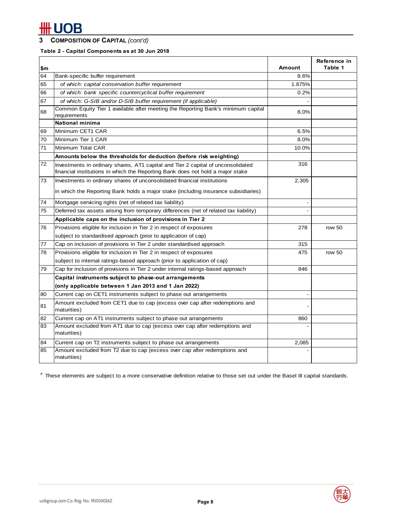### **3 COMPOSITION OF CAPITAL** *(cont'd)*

### **Table 2 - Capital Components as at 30 Jun 2018**

| l\$m |                                                                                                                                                                    | <b>Amount</b> | Reference in<br>Table 1 |
|------|--------------------------------------------------------------------------------------------------------------------------------------------------------------------|---------------|-------------------------|
| 64   | Bank-specific buffer requirement                                                                                                                                   | 8.6%          |                         |
| 65   | of which: capital conservation buffer requirement                                                                                                                  | 1.875%        |                         |
| 66   | of which: bank specific countercyclical buffer requirement                                                                                                         | 0.2%          |                         |
| 67   | of which: G-SIB and/or D-SIB buffer requirement (if applicable)                                                                                                    |               |                         |
| 68   | Common Equity Tier 1 available after meeting the Reporting Bank's minimum capital<br>requirements                                                                  | 8.0%          |                         |
|      | National minima                                                                                                                                                    |               |                         |
| 69   | Minimum CET1 CAR                                                                                                                                                   | 6.5%          |                         |
| 70   | Minimum Tier 1 CAR                                                                                                                                                 | 8.0%          |                         |
| 71   | Minimum Total CAR                                                                                                                                                  | 10.0%         |                         |
|      | Amounts below the thresholds for deduction (before risk weighting)                                                                                                 |               |                         |
| 72   | Investments in ordinary shares, AT1 capital and Tier 2 capital of unconsolidated<br>financial institutions in which the Reporting Bank does not hold a major stake | 316           |                         |
| 73   | Investments in ordinary shares of unconsolidated financial institutions                                                                                            | 2,305         |                         |
|      | in which the Reporting Bank holds a major stake (including insurance subsidiaries)                                                                                 |               |                         |
| 74   | Mortgage servicing rights (net of related tax liability)                                                                                                           |               |                         |
| 75   | Deferred tax assets arising from temporary differences (net of related tax liability)                                                                              |               |                         |
|      | Applicable caps on the inclusion of provisions in Tier 2                                                                                                           |               |                         |
| 76   | Provisions eligible for inclusion in Tier 2 in respect of exposures                                                                                                | 278           | row 50                  |
|      | subject to standardised approach (prior to application of cap)                                                                                                     |               |                         |
| 77   | Cap on inclusion of provisions in Tier 2 under standardised approach                                                                                               | 315           |                         |
| 78   | Provisions eligible for inclusion in Tier 2 in respect of exposures                                                                                                | 475           | row 50                  |
|      | subject to internal ratings-based approach (prior to application of cap)                                                                                           |               |                         |
| 79   | Cap for inclusion of provisions in Tier 2 under internal ratings-based approach                                                                                    | 846           |                         |
|      | Capital instruments subject to phase-out arrangements                                                                                                              |               |                         |
|      | (only applicable between 1 Jan 2013 and 1 Jan 2022)                                                                                                                |               |                         |
| 80   | Current cap on CET1 instruments subject to phase out arrangements                                                                                                  |               |                         |
| 81   | Amount excluded from CET1 due to cap (excess over cap after redemptions and<br>maturities)                                                                         |               |                         |
| 82   | Current cap on AT1 instruments subject to phase out arrangements                                                                                                   | 860           |                         |
| 83   | Amount excluded from AT1 due to cap (excess over cap after redemptions and<br>maturities)                                                                          |               |                         |
| 84   | Current cap on T2 instruments subject to phase out arrangements                                                                                                    | 2,085         |                         |
| 85   | Amount excluded from T2 due to cap (excess over cap after redemptions and<br>maturities)                                                                           |               |                         |

# These elements are subject to a more conservative definition relative to those set out under the Basel III capital standards.

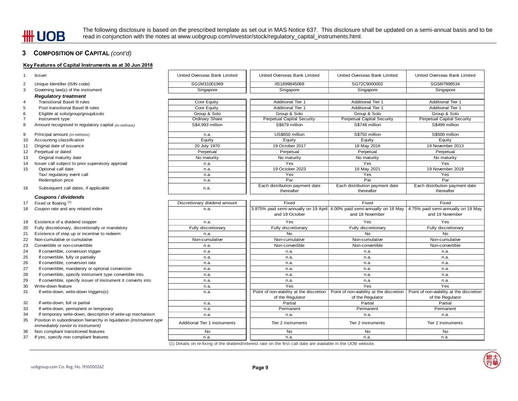The following disclosure is based on the prescribed template as set out in MAS Notice 637. This disclosure shall be updated on a semi-annual basis and to be read in conjunction with the notes at www.uobgroup.com/investor/stock/regulatory\_capital\_instruments.html.

#### **3 COMPOSITION OF CAPITAL** *(cont'd)*

#### **Key Features of Capital Instruments as at 30 Jun 2018**

| $\mathbf 1$    | <b>Issuer</b>                                                                                            | United Overseas Bank Limited         | United Overseas Bank Limited                                                                                    | United Overseas Bank Limited                                                                                                   | United Overseas Bank Limited      |
|----------------|----------------------------------------------------------------------------------------------------------|--------------------------------------|-----------------------------------------------------------------------------------------------------------------|--------------------------------------------------------------------------------------------------------------------------------|-----------------------------------|
| $\overline{2}$ | Unique Identifier (ISIN code)                                                                            | SG1M31001969                         | XS1699845068                                                                                                    | SG72C9000002                                                                                                                   | SG58I7998534                      |
| 3              | Governing law(s) of the instrument                                                                       | Singapore                            | Singapore                                                                                                       | Singapore                                                                                                                      | Singapore                         |
|                | <b>Regulatory treatment</b>                                                                              |                                      |                                                                                                                 |                                                                                                                                |                                   |
| 4              | <b>Transitional Basel III rules</b>                                                                      | Core Equity                          | <b>Additional Tier 1</b>                                                                                        | <b>Additional Tier 1</b>                                                                                                       | <b>Additional Tier 1</b>          |
| 5              | Post-transitional Basel III rules                                                                        | Core Equity                          | <b>Additional Tier 1</b>                                                                                        | <b>Additional Tier 1</b>                                                                                                       | <b>Additional Tier 1</b>          |
| 6              | Eligible at solo/group/group&solo                                                                        | Group & Solo                         | Group & Solo                                                                                                    | Group & Solo                                                                                                                   | Group & Solo                      |
| $\overline{7}$ | Instrument type                                                                                          | Ordinary Share                       | <b>Perpetual Capital Security</b>                                                                               | <b>Perpetual Capital Security</b>                                                                                              | <b>Perpetual Capital Security</b> |
| 8              | Amount recognised in regulatory capital (in millions)                                                    | S\$4,993 million                     | S\$879 million                                                                                                  | S\$748 million                                                                                                                 | S\$499 million                    |
| 9              | Principal amount (in millions)                                                                           | n.a.                                 | US\$650 million                                                                                                 | S\$750 million                                                                                                                 | S\$500 million                    |
| 10             | Accounting classification                                                                                | Equity                               | Equity                                                                                                          | Equity                                                                                                                         | Equity                            |
| 11             | Original date of issuance                                                                                | 20 July 1970                         | 19 October 2017                                                                                                 | 18 May 2016                                                                                                                    | 19 November 2013                  |
| 12             | Perpetual or dated                                                                                       | Perpetual                            | Perpetual                                                                                                       | Perpetual                                                                                                                      | Perpetual                         |
| 13             | Original maturity date                                                                                   | No maturity                          | No maturity                                                                                                     | No maturity                                                                                                                    | No maturity                       |
| 14             | Issuer call subject to prior supervisory approval                                                        | n.a.                                 | Yes                                                                                                             | Yes                                                                                                                            | Yes                               |
| 15             | Optional call date                                                                                       | n.a.                                 | 19 October 2023                                                                                                 | 18 May 2021                                                                                                                    | 19 November 2019                  |
|                | Tax/ regulatory event call                                                                               | n.a.                                 | Yes                                                                                                             | Yes                                                                                                                            | Yes                               |
|                | Redemption price                                                                                         | n.a.                                 | Par                                                                                                             | $\overline{Par}$                                                                                                               | $\overline{Par}$                  |
|                |                                                                                                          |                                      | Each distribution payment date                                                                                  | Each distribution payment date                                                                                                 | Each distribution payment date    |
| 16             | Subsequent call dates, if applicable                                                                     | n.a.                                 | thereafter                                                                                                      | thereafter                                                                                                                     | thereafter                        |
|                | Coupons / dividends                                                                                      |                                      |                                                                                                                 |                                                                                                                                |                                   |
| 17             | Fixed or floating (1)                                                                                    | Discretionary dividend amount        | Fixed                                                                                                           | Fixed                                                                                                                          | Fixed                             |
| 18             | Coupon rate and any related index                                                                        | n.a.                                 |                                                                                                                 | 3.875% paid semi-annually on 19 April 4.00% paid semi-annually on 18 May   4.75% paid semi-annually on 19 May                  |                                   |
|                |                                                                                                          |                                      | and 19 October                                                                                                  | and 18 November                                                                                                                | and 19 November                   |
| 19             | Existence of a dividend stopper                                                                          | n.a.                                 | Yes                                                                                                             | Yes                                                                                                                            | Yes                               |
| 20             | Fully discretionary, discretionally or mandatory                                                         | Fully discretionary                  | Fully discretionary                                                                                             | Fully discretionary                                                                                                            | Fully discretionary               |
| 21             | Existence of step up or incentive to redeem                                                              | n.a.                                 | <b>No</b>                                                                                                       | <b>No</b>                                                                                                                      | <b>No</b>                         |
| 22             | Non-cumulative or cumulative                                                                             | Non-cumulative                       | Non-cumulative                                                                                                  | Non-cumulative                                                                                                                 | Non-cumulative                    |
| 23             | Convertible or non-convertible                                                                           | n.a.                                 | Non-convertible                                                                                                 | Non-convertible                                                                                                                | Non-convertible                   |
| 24             | If convertible, conversion trigger                                                                       | n.a.                                 | n.a.                                                                                                            | n.a.                                                                                                                           | n.a.                              |
| 25             | If convertible, fully or partially                                                                       | n.a.                                 | n.a.                                                                                                            | n.a.                                                                                                                           | n.a.                              |
| 26             | If convertible, conversion rate                                                                          | n.a.                                 | n.a.                                                                                                            | n.a.                                                                                                                           | n.a.                              |
| 27             | If convertible, mandatory or optional conversion                                                         | n.a.                                 | n.a.                                                                                                            | n.a.                                                                                                                           | n.a.                              |
| 28             | If convertible, specify instrument type convertible into                                                 | n.a.                                 | n.a.                                                                                                            | n.a.                                                                                                                           | n.a.                              |
| 29             | If convertible, specify issuer of instrument it converts into                                            | n.a.                                 | n.a.                                                                                                            | n.a.                                                                                                                           | n.a.                              |
| 30             | Write-down feature                                                                                       | n.a.                                 | Yes                                                                                                             | Yes                                                                                                                            | Yes                               |
| 31             | If write-down, write-down triggers(s)                                                                    | n.a.                                 |                                                                                                                 | Point of non-viability at the discretion   Point of non-viability at the discretion   Point of non-viability at the discretion |                                   |
|                |                                                                                                          |                                      | of the Regulator                                                                                                | of the Regulator                                                                                                               | of the Regulator                  |
| 32             | If write-down, full or partial                                                                           | n.a.                                 | Partial                                                                                                         | Partial                                                                                                                        | Partial                           |
| 33             | If write-down, permanent or temporary                                                                    | n.a.                                 | Permanent                                                                                                       | Permanent                                                                                                                      | Permanent                         |
| 34             | If temporary write-down, description of write-up mechanism                                               | n.a.                                 | n.a.                                                                                                            | n.a.                                                                                                                           | n.a.                              |
| 35             | Position in subordination hierarchy in liquidation (instrument type<br>immediately senior to instrument) | <b>Additional Tier 1 instruments</b> | Tier 2 instruments                                                                                              | Tier 2 instruments                                                                                                             | Tier 2 instruments                |
| 36             | Non compliant transitioned features                                                                      | No                                   | No                                                                                                              | No                                                                                                                             | No                                |
| 37             | If yes, specify non compliant features                                                                   | n.a.                                 | n.a.                                                                                                            | n.a.                                                                                                                           | n.a.                              |
|                |                                                                                                          |                                      | (1) Details on re-fixing of the dividend/interest rate on the first call date are available in the UOB website. |                                                                                                                                |                                   |
|                |                                                                                                          |                                      |                                                                                                                 |                                                                                                                                |                                   |

uobgroup.com Co. Reg. No. 193500026Z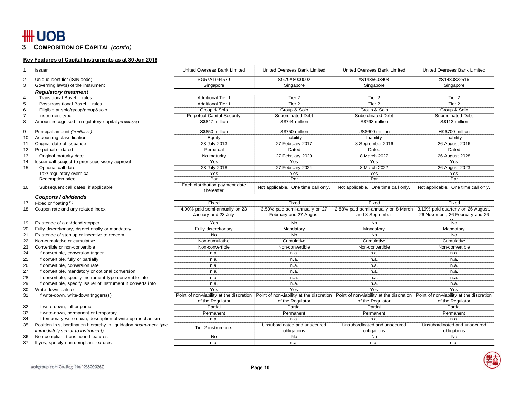**3 COMPOSITION OF CAPITAL** *(cont'd)* 

#### **Key Features of Capital Instruments as at 30 Jun 2018**

| 1              | <b>Issuer</b>                                                       | United Overseas Bank Limited                 | United Overseas Bank Limited        | United Overseas Bank Limited                                                                                                                                              | United Overseas Bank Limited        |
|----------------|---------------------------------------------------------------------|----------------------------------------------|-------------------------------------|---------------------------------------------------------------------------------------------------------------------------------------------------------------------------|-------------------------------------|
| 2              | Unique Identifier (ISIN code)                                       | SG57A1994579                                 | SG79A8000002                        | XS1485603408                                                                                                                                                              | XS1480822516                        |
| 3              | Governing law(s) of the instrument                                  | Singapore                                    | Singapore                           | Singapore                                                                                                                                                                 | Singapore                           |
|                | <b>Regulatory treatment</b>                                         |                                              |                                     |                                                                                                                                                                           |                                     |
| $\overline{4}$ | <b>Transitional Basel III rules</b>                                 | <b>Additional Tier 1</b>                     | Tier <sub>2</sub>                   | Tier <sub>2</sub>                                                                                                                                                         | Tier <sub>2</sub>                   |
| 5              | Post-transitional Basel III rules                                   | <b>Additional Tier 1</b>                     | Tier 2                              | Tier <sub>2</sub>                                                                                                                                                         | Tier <sub>2</sub>                   |
| 6              | Eligible at solo/group/group&solo                                   | Group & Solo                                 | Group & Solo                        | Group & Solo                                                                                                                                                              | Group & Solo                        |
| $\overline{7}$ | Instrument type                                                     | <b>Perpetual Capital Security</b>            | <b>Subordinated Debt</b>            | <b>Subordinated Debt</b>                                                                                                                                                  | <b>Subordinated Debt</b>            |
| 8              | Amount recognised in regulatory capital (in millions)               | S\$847 million                               | S\$744 million                      | S\$793 million                                                                                                                                                            | S\$113 million                      |
| 9              | Principal amount (in millions)                                      | S\$850 million                               | S\$750 million                      | US\$600 million                                                                                                                                                           | HK\$700 million                     |
| 10             | Accounting classification                                           | Equity                                       | Liability                           | Liability                                                                                                                                                                 | Liability                           |
| 11             | Original date of issuance                                           | 23 July 2013                                 | 27 February 2017                    | 8 September 2016                                                                                                                                                          | 26 August 2016                      |
| 12             | Perpetual or dated                                                  | Perpetual                                    | Dated                               | Dated                                                                                                                                                                     | Dated                               |
| 13             | Original maturity date                                              | No maturity                                  | 27 February 2029                    | 8 March 2027                                                                                                                                                              | 26 August 2028                      |
| 14             | Issuer call subject to prior supervisory approval                   | Yes                                          | Yes                                 | Yes                                                                                                                                                                       | Yes                                 |
| 15             | Optional call date                                                  | 23 July 2018                                 | 27 February 2024                    | 8 March 2022                                                                                                                                                              | 26 August 2023                      |
|                | Tax/ regulatory event call                                          | Yes                                          | $\overline{\text{Yes}}$             | <b>Yes</b>                                                                                                                                                                | <b>Yes</b>                          |
|                | Redemption price                                                    | Par                                          | Par                                 | Par                                                                                                                                                                       | Par                                 |
| 16             | Subsequent call dates, if applicable                                | Each distribution payment date<br>thereafter | Not applicable. One time call only. | Not applicable. One time call only.                                                                                                                                       | Not applicable. One time call only. |
|                | Coupons / dividends                                                 |                                              |                                     |                                                                                                                                                                           |                                     |
| 17             | Fixed or floating (1)                                               | Fixed                                        | Fixed                               | Fixed                                                                                                                                                                     | Fixed                               |
| 18             | Coupon rate and any related index                                   | 4.90% paid semi-annually on 23               | 3.50% paid semi-annually on 27      | 2.88% paid semi-annually on 8 March                                                                                                                                       | 3.19% paid quarterly on 26 August,  |
|                |                                                                     | January and 23 July                          | February and 27 August              | and 8 September                                                                                                                                                           | 26 November, 26 February and 26     |
| 19             | Existence of a dividend stopper                                     | Yes                                          | No                                  | <b>No</b>                                                                                                                                                                 | <b>No</b>                           |
| 20             | Fully discretionary, discretionally or mandatory                    | Fully discretionary                          | Mandatory                           | Mandatory                                                                                                                                                                 | Mandatory                           |
| 21             | Existence of step up or incentive to redeem                         | <b>No</b>                                    | <b>No</b>                           | <b>No</b>                                                                                                                                                                 | <b>No</b>                           |
| 22             | Non-cumulative or cumulative                                        | Non-cumulative                               | Cumulative                          | Cumulative                                                                                                                                                                | Cumulative                          |
| 23             | Convertible or non-convertible                                      | Non-convertible                              | Non-convertible                     | Non-convertible                                                                                                                                                           | Non-convertible                     |
| 24             | If convertible, conversion trigger                                  | n.a.                                         | n.a.                                | n.a.                                                                                                                                                                      | n.a.                                |
| 25             | If convertible, fully or partially                                  | n.a.                                         | n.a.                                | n.a.                                                                                                                                                                      | n.a.                                |
| 26             | If convertible, conversion rate                                     | n.a.                                         | n.a.                                | n.a.                                                                                                                                                                      | n.a.                                |
| 27             | If convertible, mandatory or optional conversion                    | n.a.                                         | n.a.                                | n.a.                                                                                                                                                                      | n.a.                                |
| 28             | If convertible, specify instrument type convertible into            | n.a.                                         | n.a.                                | n.a.                                                                                                                                                                      | n.a.                                |
| 29             | If convertible, specify issuer of instrument it converts into       | n.a.                                         | n.a.                                | n.a.                                                                                                                                                                      | n.a.                                |
| 30             | Write-down feature                                                  | Yes                                          | Yes                                 | Yes                                                                                                                                                                       | Yes                                 |
| 31             | If write-down, write-down triggers(s)                               |                                              |                                     | Point of non-viability at the discretion   Point of non-viability at the discretion   Point of non-viability at the discretion   Point of non-viability at the discretion |                                     |
|                |                                                                     | of the Regulator                             | of the Regulator                    | of the Regulator                                                                                                                                                          | of the Regulator                    |
| 32             | If write-down, full or partial                                      | Partial                                      | Partial                             | Partial                                                                                                                                                                   | Partial                             |
| 33             | If write-down, permanent or temporary                               | Permanent                                    | Permanent                           | Permanent                                                                                                                                                                 | Permanent                           |
| 34             | If temporary write-down, description of write-up mechanism          | n.a.                                         | n.a.                                | n.a.                                                                                                                                                                      | n.a.                                |
| 35             | Position in subordination hierarchy in liquidation (instrument type | Tier 2 instruments                           | Unsubordinated and unsecured        | Unsubordinated and unsecured                                                                                                                                              | Unsubordinated and unsecured        |
|                | immediately senior to instrument)                                   |                                              | obligations                         | obligations                                                                                                                                                               | obligations                         |
| 36             | Non compliant transitioned features                                 | No                                           | No                                  | <b>No</b>                                                                                                                                                                 | <b>No</b>                           |
| 37             | If yes, specify non compliant features                              | n.a.                                         | n.a.                                | n.a.                                                                                                                                                                      | n.a.                                |
|                |                                                                     |                                              |                                     |                                                                                                                                                                           |                                     |

一般<br>大韓<br>行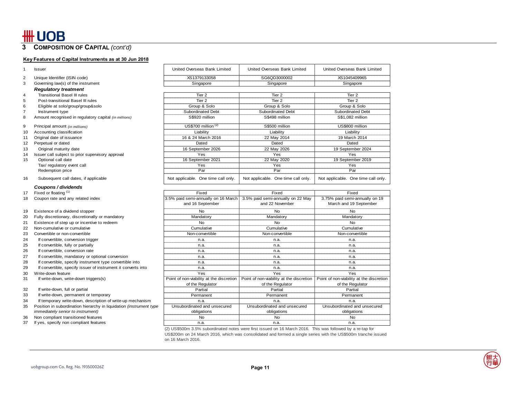**3COMPOSITION OF CAPITAL** *(cont'd)* 

#### **Key Features of Capital Instruments as at 30 Jun 2018**

| $\mathbf{1}$   | <b>Issuer</b>                                                       | United Overseas Bank Limited             | United Overseas Bank Limited             | United Overseas Bank Limited             |  |
|----------------|---------------------------------------------------------------------|------------------------------------------|------------------------------------------|------------------------------------------|--|
| 2              | Unique Identifier (ISIN code)                                       | XS1379133058                             | SG6QD3000002                             | XS1045409965                             |  |
| 3              | Governing law(s) of the instrument                                  | Singapore                                | Singapore                                | Singapore                                |  |
|                | <b>Regulatory treatment</b>                                         |                                          |                                          |                                          |  |
| $\overline{4}$ | <b>Transitional Basel III rules</b>                                 | Tier <sub>2</sub>                        | Tier <sub>2</sub>                        | Tier <sub>2</sub>                        |  |
| 5              | Post-transitional Basel III rules                                   | Tier <sub>2</sub>                        | Tier <sub>2</sub>                        | Tier <sub>2</sub>                        |  |
| 6              | Eligible at solo/group/group&solo                                   | Group & Solo                             | Group & Solo                             | Group & Solo                             |  |
| $\overline{7}$ | Instrument type                                                     | Subordinated Debt                        | Subordinated Debt                        | Subordinated Debt                        |  |
| 8              | Amount recognised in regulatory capital (in millions)               | S\$920 million                           | S\$498 million                           | S\$1.082 million                         |  |
| 9              | Principal amount (in millions)                                      | US\$700 million $(2)$                    | S\$500 million                           | US\$800 million                          |  |
| 10             | Accounting classification                                           | Liability                                | Liability                                | Liability                                |  |
| 11             | Original date of issuance                                           | 16 & 24 March 2016                       | 22 May 2014                              | 19 March 2014                            |  |
| 12             | Perpetual or dated                                                  | Dated                                    | Dated                                    | Dated                                    |  |
| 13             | Original maturity date                                              | 16 September 2026                        | 22 May 2026                              | 19 September 2024                        |  |
| 14             | Issuer call subject to prior supervisory approval                   | Yes                                      | Yes                                      | Yes                                      |  |
| 15             | Optional call date                                                  | 16 September 2021                        | 22 May 2020                              | 19 September 2019                        |  |
|                | Tax/ regulatory event call                                          | Yes                                      | Yes                                      | Yes                                      |  |
|                | Redemption price                                                    | Par                                      | Par                                      | Par                                      |  |
| 16             | Subsequent call dates, if applicable                                | Not applicable. One time call only.      | Not applicable. One time call only.      | Not applicable. One time call only.      |  |
|                | Coupons / dividends                                                 |                                          |                                          |                                          |  |
| 17             | Fixed or floating (1)                                               | Fixed                                    | Fixed                                    | Fixed                                    |  |
| 18             | Coupon rate and any related index                                   | 3.5% paid semi-annually on 16 March      | 3.5% paid semi-annually on 22 May        | 3.75% paid semi-annually on 19           |  |
|                |                                                                     | and 16 September                         | and 22 November                          | March and 19 September                   |  |
| 19             | Existence of a dividend stopper                                     | <b>No</b>                                | No                                       | No                                       |  |
| 20             | Fully discretionary, discretionally or mandatory                    | Mandatory                                | Mandatory                                | Mandatory                                |  |
| 21             | Existence of step up or incentive to redeem                         | <b>No</b>                                | <b>No</b>                                | <b>No</b>                                |  |
| 22             | Non-cumulative or cumulative                                        | Cumulative                               | Cumulative                               | Cumulative                               |  |
| 23             | Convertible or non-convertible                                      | Non-convertible                          | Non-convertible                          | Non-convertible                          |  |
| 24             | If convertible, conversion trigger                                  | n.a.                                     | n.a.                                     | n.a.                                     |  |
| 25             | If convertible, fully or partially                                  | n.a.                                     | n.a.                                     | n.a.                                     |  |
| 26             | If convertible, conversion rate                                     | n.a.                                     | n.a.                                     | n.a.                                     |  |
| 27             | If convertible, mandatory or optional conversion                    | n.a.                                     | n.a.                                     | n.a.                                     |  |
| 28             | If convertible, specify instrument type convertible into            | n.a.                                     | n.a.                                     | n.a.                                     |  |
| 29             | If convertible, specify issuer of instrument it converts into       | n.a.                                     | n.a.                                     | n.a.                                     |  |
| 30             | Write-down feature                                                  | Yes                                      | Yes                                      | Yes                                      |  |
| 31             | If write-down, write-down triggers(s)                               | Point of non-viability at the discretion | Point of non-viability at the discretion | Point of non-viability at the discretion |  |
|                |                                                                     | of the Regulator                         | of the Regulator                         | of the Regulator                         |  |
| 32             | If write-down, full or partial                                      | Partial                                  | Partial                                  | Partial                                  |  |
| 33             | If write-down, permanent or temporary                               | Permanent                                | Permanent                                | Permanent                                |  |
| 34             | If temporary write-down, description of write-up mechanism          | n.a.                                     | n.a.                                     | n.a.                                     |  |
| 35             | Position in subordination hierarchy in liquidation (instrument type | Unsubordinated and unsecured             | Unsubordinated and unsecured             | Unsubordinated and unsecured             |  |
|                | <i>immediately senior to instrument)</i>                            | obligations                              | obligations                              | obligations                              |  |
| 36             | Non compliant transitioned features                                 | No                                       | No                                       | No                                       |  |
| 37             | If yes, specify non compliant features                              | n.a.                                     | n.a.                                     | n.a.                                     |  |

(2) US\$500m 3.5% subordinated notes were first issued on 16 March 2016. This was followed by a re-tap for US\$200m on 24 March 2016, which was consolidated and formed a single series with the US\$500m tranche issued on 16 March 2016.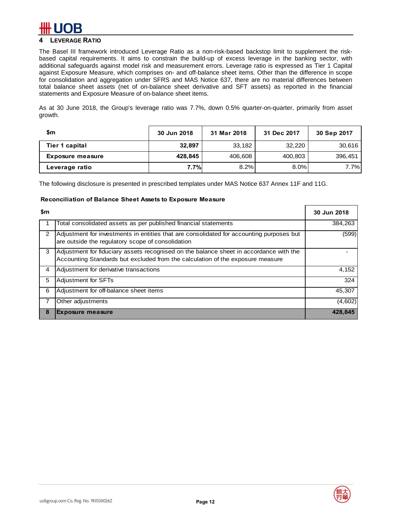## **4 LEVERAGE RATIO**

The Basel III framework introduced Leverage Ratio as a non-risk-based backstop limit to supplement the riskbased capital requirements. It aims to constrain the build-up of excess leverage in the banking sector, with additional safeguards against model risk and measurement errors. Leverage ratio is expressed as Tier 1 Capital against Exposure Measure, which comprises on- and off-balance sheet items. Other than the difference in scope for consolidation and aggregation under SFRS and MAS Notice 637, there are no material differences between total balance sheet assets (net of on-balance sheet derivative and SFT assets) as reported in the financial statements and Exposure Measure of on-balance sheet items.

As at 30 June 2018, the Group's leverage ratio was 7.7%, down 0.5% quarter-on-quarter, primarily from asset growth.

| \$m                     | 30 Jun 2018 | 31 Mar 2018 | 31 Dec 2017 | 30 Sep 2017 |
|-------------------------|-------------|-------------|-------------|-------------|
| Tier 1 capital          | 32.897      | 33,182      | 32,220      | 30,616      |
| <b>Exposure measure</b> | 428,845     | 406,608     | 400,803     | 396.451     |
| Leverage ratio          | 7.7%        | 8.2%        | 8.0%        | 7.7%        |

The following disclosure is presented in prescribed templates under MAS Notice 637 Annex 11F and 11G.

#### **Reconciliation of Balance Sheet Assets to Exposure Measure**

| \$m |                                                                                                                                                                          | 30 Jun 2018 |
|-----|--------------------------------------------------------------------------------------------------------------------------------------------------------------------------|-------------|
|     | Total consolidated assets as per published financial statements                                                                                                          | 384,263     |
| 2   | Adjustment for investments in entities that are consolidated for accounting purposes but<br>are outside the regulatory scope of consolidation                            | (599)       |
| 3   | Adjustment for fiduciary assets recognised on the balance sheet in accordance with the<br>Accounting Standards but excluded from the calculation of the exposure measure |             |
| 4   | Adjustment for derivative transactions                                                                                                                                   | 4,152       |
| 5   | Adjustment for SFTs                                                                                                                                                      | 324         |
| 6   | Adjustment for off-balance sheet items                                                                                                                                   | 45,307      |
| 7   | Other adjustments                                                                                                                                                        | (4,602)     |
| 8   | <b>Exposure measure</b>                                                                                                                                                  | 428,845     |

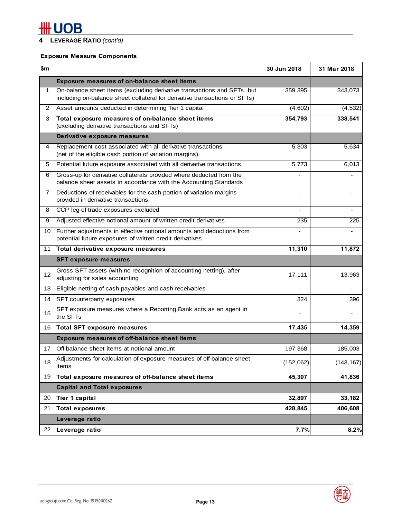# **#H UOB**

# **4 LEVERAGE RATIO** *(cont'd)*

## **Exposure Measure Components**

| \$m            |                                                                                                                                                       | 30 Jun 2018                  | 31 Mar 2018 |
|----------------|-------------------------------------------------------------------------------------------------------------------------------------------------------|------------------------------|-------------|
|                | <b>Exposure measures of on-balance sheet items</b>                                                                                                    |                              |             |
| 1              | On-balance sheet items (excluding derivative transactions and SFTs, but<br>including on-balance sheet collateral for derivative transactions or SFTs) | 359,395                      | 343,073     |
| $\overline{c}$ | Asset amounts deducted in determining Tier 1 capital                                                                                                  | (4,602)                      | (4, 532)    |
| 3              | Total exposure measures of on-balance sheet items<br>(excluding derivative transactions and SFTs)                                                     | 354,793                      | 338,541     |
|                | Derivative exposure measures                                                                                                                          |                              |             |
| 4              | Replacement cost associated with all derivative transactions<br>(net of the eligible cash portion of variation margins)                               | 5,303                        | 5,634       |
| 5              | Potential future exposure associated with all derivative transactions                                                                                 | 5,773                        | 6,013       |
| 6              | Gross-up for derivative collaterals provided where deducted from the<br>balance sheet assets in accordance with the Accounting Standards              |                              |             |
| 7              | Deductions of receivables for the cash portion of variation margins<br>provided in derivative transactions                                            | $\qquad \qquad \blacksquare$ |             |
| 8              | CCP leg of trade exposures excluded                                                                                                                   | $\overline{\phantom{a}}$     |             |
| 9              | Adjusted effective notional amount of written credit derivatives                                                                                      | 235                          | 225         |
| 10             | Further adjustments in effective notional amounts and deductions from<br>potential future exposures of written credit derivatives                     |                              |             |
| 11             | Total derivative exposure measures                                                                                                                    | 11,310                       | 11,872      |
|                | <b>SFT exposure measures</b>                                                                                                                          |                              |             |
| 12             | Gross SFT assets (with no recognition of accounting netting), after<br>adjusting for sales accounting                                                 | 17,111                       | 13,963      |
| 13             | Eligible netting of cash payables and cash receivables                                                                                                | $\overline{a}$               |             |
| 14             | SFT counterparty exposures                                                                                                                            | 324                          | 396         |
| 15             | SFT exposure measures where a Reporting Bank acts as an agent in<br>the SFTs                                                                          |                              |             |
| 16             | <b>Total SFT exposure measures</b>                                                                                                                    | 17,435                       | 14,359      |
|                | <b>Exposure measures of off-balance sheet items</b>                                                                                                   |                              |             |
| 17             | Off-balance sheet items at notional amount                                                                                                            | 197,368                      | 185,003     |
| 18             | Adjustments for calculation of exposure measures of off-balance sheet<br>items                                                                        | (152,062)                    | (143, 167)  |
| 19             | Total exposure measures of off-balance sheet items                                                                                                    | 45,307                       | 41,836      |
|                | <b>Capital and Total exposures</b>                                                                                                                    |                              |             |
| 20             | Tier 1 capital                                                                                                                                        | 32,897                       | 33,182      |
| 21             | <b>Total exposures</b>                                                                                                                                | 428,845                      | 406,608     |
|                | Leverage ratio                                                                                                                                        |                              |             |
| 22             | Leverage ratio                                                                                                                                        | 7.7%                         | 8.2%        |

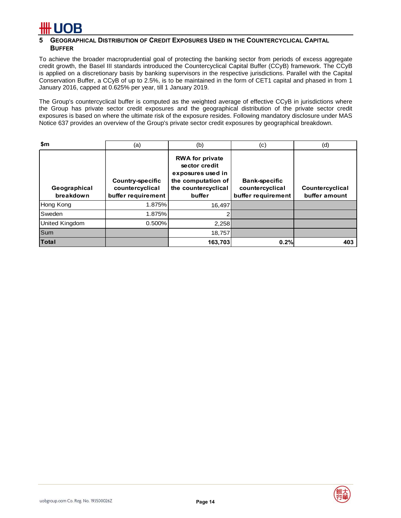### **5 GEOGRAPHICAL DISTRIBUTION OF CREDIT EXPOSURES USED IN THE COUNTERCYCLICAL CAPITAL BUFFER**

To achieve the broader macroprudential goal of protecting the banking sector from periods of excess aggregate credit growth, the Basel III standards introduced the Countercyclical Capital Buffer (CCyB) framework. The CCyB is applied on a discretionary basis by banking supervisors in the respective jurisdictions. Parallel with the Capital Conservation Buffer, a CCyB of up to 2.5%, is to be maintained in the form of CET1 capital and phased in from 1 January 2016, capped at 0.625% per year, till 1 January 2019.

The Group's countercyclical buffer is computed as the weighted average of effective CCyB in jurisdictions where the Group has private sector credit exposures and the geographical distribution of the private sector credit exposures is based on where the ultimate risk of the exposure resides. Following mandatory disclosure under MAS Notice 637 provides an overview of the Group's private sector credit exposures by geographical breakdown.

| \$m                       | (a)                                                              | (b)                                                                                                                 | (c)                                                           | (d)                              |
|---------------------------|------------------------------------------------------------------|---------------------------------------------------------------------------------------------------------------------|---------------------------------------------------------------|----------------------------------|
| Geographical<br>breakdown | <b>Country-specific</b><br>countercyclical<br>buffer requirement | <b>RWA for private</b><br>sector credit<br>exposures used in<br>the computation of<br>the countercyclical<br>buffer | <b>Bank-specific</b><br>countercyclical<br>buffer requirement | Countercyclical<br>buffer amount |
| Hong Kong                 | 1.875%                                                           | 16.497                                                                                                              |                                                               |                                  |
| Sweden                    | 1.875%                                                           | 2                                                                                                                   |                                                               |                                  |
| United Kingdom            | 0.500%                                                           | 2,258                                                                                                               |                                                               |                                  |
| Sum                       |                                                                  | 18.757                                                                                                              |                                                               |                                  |
| <b>Total</b>              |                                                                  | 163,703                                                                                                             | 0.2%                                                          | 403                              |

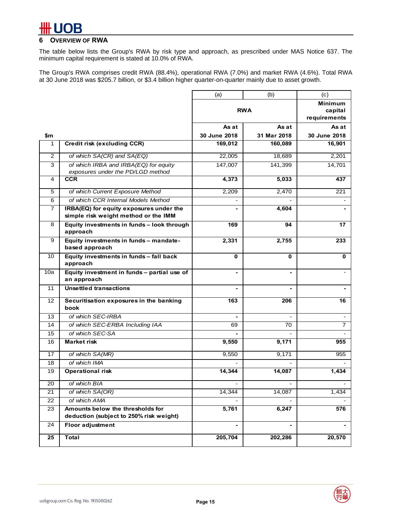# IR

## **6 OVERVIEW OF RWA**

The table below lists the Group's RWA by risk type and approach, as prescribed under MAS Notice 637. The minimum capital requirement is stated at 10.0% of RWA.

The Group's RWA comprises credit RWA (88.4%), operational RWA (7.0%) and market RWA (4.6%). Total RWA at 30 June 2018 was \$205.7 billion, or \$3.4 billion higher quarter-on-quarter mainly due to asset growth.

|                |                                                                                 | (a)            | (b)                      | (c)                      |
|----------------|---------------------------------------------------------------------------------|----------------|--------------------------|--------------------------|
|                |                                                                                 |                |                          | <b>Minimum</b>           |
|                |                                                                                 |                | <b>RWA</b>               | capital                  |
|                |                                                                                 |                |                          | requirements             |
|                |                                                                                 | As at          | As at                    | As at                    |
| \$m            |                                                                                 | 30 June 2018   | 31 Mar 2018              | 30 June 2018             |
| 1              | Credit risk (excluding CCR)                                                     | 169,012        | 160,089                  | 16,901                   |
| $\overline{2}$ | of which SA(CR) and SA(EQ)                                                      | 22,005         | 18,689                   | 2,201                    |
| 3              | of which IRBA and IRBA(EQ) for equity<br>exposures under the PD/LGD method      | 147,007        | 141,399                  | 14,701                   |
| 4              | <b>CCR</b>                                                                      | 4,373          | 5,033                    | 437                      |
| 5              | of which Current Exposure Method                                                | 2,209          | 2,470                    | 221                      |
| 6              | of which CCR Internal Models Method                                             |                |                          |                          |
| $\overline{7}$ | IRBA(EQ) for equity exposures under the<br>simple risk weight method or the IMM |                | 4,604                    |                          |
| 8              | Equity investments in funds - look through<br>approach                          | 169            | 94                       | 17                       |
| 9              | Equity investments in funds - mandate-<br>based approach                        | 2,331          | 2,755                    | 233                      |
| 10             | Equity investments in funds - fall back<br>approach                             | 0              | 0                        | 0                        |
| 10a            | Equity investment in funds - partial use of<br>an approach                      |                | ۰                        | $\overline{\phantom{a}}$ |
| 11             | <b>Unsettled transactions</b>                                                   | $\blacksquare$ | $\blacksquare$           |                          |
| 12             | Securitisation exposures in the banking<br>book                                 | 163            | 206                      | 16                       |
| 13             | of which SEC-IRBA                                                               |                | $\overline{\phantom{a}}$ | $\sim$                   |
| 14             | of which SEC-ERBA Including IAA                                                 | 69             | 70                       | $\overline{7}$           |
| 15             | of which SEC-SA                                                                 |                |                          |                          |
| 16             | <b>Market risk</b>                                                              | 9,550          | 9,171                    | 955                      |
| 17             | of which SA(MR)                                                                 | 9,550          | 9,171                    | 955                      |
| 18             | of which IMA                                                                    |                |                          |                          |
| 19             | <b>Operational risk</b>                                                         | 14,344         | 14,087                   | 1,434                    |
| 20             | of which BIA                                                                    |                |                          |                          |
| 21             | of which SA(OR)                                                                 | 14,344         | 14,087                   | 1,434                    |
| 22             | of which AMA                                                                    |                |                          |                          |
| 23             | Amounts below the thresholds for<br>deduction (subject to 250% risk weight)     | 5,761          | 6,247                    | 576                      |
| 24             | <b>Floor adjustment</b>                                                         |                | $\blacksquare$           |                          |
| 25             | <b>Total</b>                                                                    | 205,704        | 202,286                  | 20,570                   |

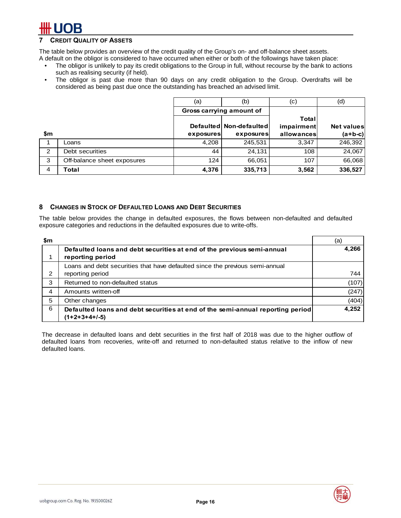## **7 CREDIT QUALITY OF ASSETS**

The table below provides an overview of the credit quality of the Group's on- and off-balance sheet assets.

A default on the obligor is considered to have occurred when either or both of the followings have taken place:

- The obligor is unlikely to pay its credit obligations to the Group in full, without recourse by the bank to actions such as realising security (if held).
- The obligor is past due more than 90 days on any credit obligation to the Group. Overdrafts will be considered as being past due once the outstanding has breached an advised limit.

|     |                             | (a)       | (b)                      | (c)        | (d)               |
|-----|-----------------------------|-----------|--------------------------|------------|-------------------|
|     |                             |           | Gross carrying amount of |            |                   |
|     |                             |           |                          | Total      |                   |
|     |                             |           | Defaulted Non-defaulted  | impairment | <b>Net values</b> |
| \$m |                             | exposures | exposures                | allowances | $(a+b-c)$         |
|     | Loans                       | 4,208     | 245,531                  | 3,347      | 246,392           |
| 2   | Debt securities             | 44        | 24,131                   | 108        | 24,067            |
| 3   | Off-balance sheet exposures | 124       | 66,051                   | 107        | 66,068            |
| 4   | Total                       | 4,376     | 335,713                  | 3,562      | 336,527           |

### **8 CHANGES IN STOCK OF DEFAULTED LOANS AND DEBT SECURITIES**

The table below provides the change in defaulted exposures, the flows between non-defaulted and defaulted exposure categories and reductions in the defaulted exposures due to write-offs.

| \$m |                                                                                                  | (a)   |
|-----|--------------------------------------------------------------------------------------------------|-------|
|     | Defaulted loans and debt securities at end of the previous semi-annual<br>reporting period       | 4,266 |
|     | Loans and debt securities that have defaulted since the previous semi-annual                     |       |
| 2   | reporting period                                                                                 | 744   |
| 3   | Returned to non-defaulted status                                                                 | (107) |
| 4   | Amounts written-off                                                                              | (247) |
| 5   | Other changes                                                                                    | (404) |
| 6   | Defaulted loans and debt securities at end of the semi-annual reporting period<br>$(1+2+3+4+/5)$ | 4,252 |

The decrease in defaulted loans and debt securities in the first half of 2018 was due to the higher outflow of defaulted loans from recoveries, write-off and returned to non-defaulted status relative to the inflow of new defaulted loans.

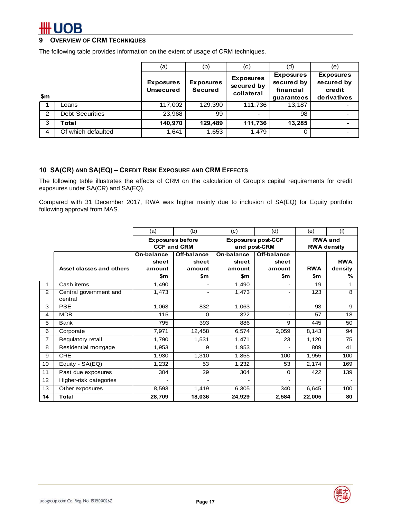## **9 OVERVIEW OF CRM TECHNIQUES**

The following table provides information on the extent of usage of CRM techniques.

|     |                        | (a)                                  | (b)                                | (c)                                          | (d)                                                       | (e)                                                     |
|-----|------------------------|--------------------------------------|------------------------------------|----------------------------------------------|-----------------------------------------------------------|---------------------------------------------------------|
| \$m |                        | <b>Exposures</b><br><b>Unsecured</b> | <b>Exposures</b><br><b>Secured</b> | <b>Exposures</b><br>secured by<br>collateral | <b>Exposures</b><br>secured by<br>financial<br>quarantees | <b>Exposures</b><br>secured by<br>credit<br>derivatives |
|     | Loans                  | 117,002                              | 129,390                            | 111,736                                      | 13.187                                                    |                                                         |
| 2   | <b>Debt Securities</b> | 23,968                               | 99                                 |                                              | 98                                                        |                                                         |
| 3   | Total                  | 140,970                              | 129,489                            | 111,736                                      | 13,285                                                    |                                                         |
| 4   | Of which defaulted     | 1.641                                | 1,653                              | 1.479                                        | 0                                                         |                                                         |

#### **10 SA(CR) AND SA(EQ) – CREDIT RISK EXPOSURE AND CRM EFFECTS**

The following table illustrates the effects of CRM on the calculation of Group's capital requirements for credit exposures under SA(CR) and SA(EQ).

Compared with 31 December 2017, RWA was higher mainly due to inclusion of SA(EQ) for Equity portfolio following approval from MAS.

|                 |                                   | (a)                                  | (b)                                           | (c)                                  | (d)                                       | (e)                                  | (f)                        |  |
|-----------------|-----------------------------------|--------------------------------------|-----------------------------------------------|--------------------------------------|-------------------------------------------|--------------------------------------|----------------------------|--|
|                 |                                   |                                      | <b>Exposures before</b><br><b>CCF and CRM</b> |                                      | <b>Exposures post-CCF</b><br>and post-CRM | <b>RWA and</b><br><b>RWA density</b> |                            |  |
|                 | Asset classes and others          | On-balance<br>sheet<br>amount<br>\$m | Off-balance<br>sheet<br>amount<br>\$m         | On-balance<br>sheet<br>amount<br>\$m | Off-balance<br>sheet<br>amount<br>\$m     | <b>RWA</b><br>\$m                    | <b>RWA</b><br>density<br>% |  |
|                 | Cash items                        | 1,490                                |                                               | 1,490                                |                                           | 19                                   | 1                          |  |
| $\overline{2}$  | Central government and<br>central | 1,473                                | $\qquad \qquad \blacksquare$                  | 1,473                                | $\sim$                                    | 123                                  | 8                          |  |
| 3               | <b>PSE</b>                        | 1,063                                | 832                                           | 1,063                                | $\sim$                                    | 93                                   | 9                          |  |
| 4               | <b>MDB</b>                        | 115                                  | $\Omega$                                      | 322                                  |                                           | 57                                   | 18                         |  |
| 5               | <b>Bank</b>                       | 795                                  | 393                                           | 886                                  | 9                                         | 445                                  | 50                         |  |
| 6               | Corporate                         | 7,971                                | 12,458                                        | 6,574                                | 2,059                                     | 8,143                                | 94                         |  |
| 7               | Regulatory retail                 | 1,790                                | 1,531                                         | 1,471                                | 23                                        | 1,120                                | 75                         |  |
| 8               | Residential mortgage              | 1,953                                | 9                                             | 1,953                                |                                           | 809                                  | 41                         |  |
| 9               | <b>CRE</b>                        | 1,930                                | 1,310                                         | 1,855                                | 100                                       | 1,955                                | 100                        |  |
| 10              | Equity - SA(EQ)                   | 1,232                                | 53                                            | 1,232                                | 53                                        | 2,174                                | 169                        |  |
| 11              | Past due exposures                | 304                                  | 29                                            | 304                                  | 0                                         | 422                                  | 139                        |  |
| 12 <sup>2</sup> | Higher-risk categories            | ۰                                    |                                               |                                      |                                           |                                      |                            |  |
| 13              | Other exposures                   | 8,593                                | 1,419                                         | 6,305                                | 340                                       | 6,645                                | 100                        |  |
| 14              | <b>Total</b>                      | 28,709                               | 18,036                                        | 24,929                               | 2,584                                     | 22,005                               | 80                         |  |

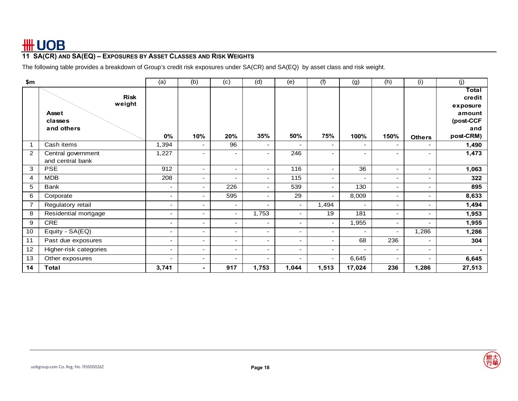# **11 SA(CR) AND SA(EQ) – EXPOSURES BY ASSET CLASSES AND RISK WEIGHTS**

The following table provides a breakdown of Group's credit risk exposures under SA(CR) and SA(EQ) by asset class and risk weight.

| \$m            |                        | (a)                      | (b)                      | (c)                      | (d)                      | (e)                      | (f)                      | (g)                      | (h)    | (i)                      | (j)                         |
|----------------|------------------------|--------------------------|--------------------------|--------------------------|--------------------------|--------------------------|--------------------------|--------------------------|--------|--------------------------|-----------------------------|
|                | <b>Risk</b><br>weight  |                          |                          |                          |                          |                          |                          |                          |        |                          | Total<br>credit<br>exposure |
|                | <b>Asset</b>           |                          |                          |                          |                          |                          |                          |                          |        |                          | amount                      |
|                | classes                |                          |                          |                          |                          |                          |                          |                          |        |                          | (post-CCF                   |
|                | and others             |                          |                          |                          |                          |                          |                          |                          |        |                          | and                         |
|                |                        | 0%                       | 10%                      | 20%                      | 35%                      | 50%                      | 75%                      | 100%                     | 150%   | <b>Others</b>            | post-CRM)                   |
|                | Cash items             | 1,394                    | $\blacksquare$           | 96                       | $\overline{\phantom{a}}$ | $\overline{\phantom{0}}$ | $\blacksquare$           |                          | ٠      | $\blacksquare$           | 1,490                       |
| 2              | Central government     | 1,227                    |                          | ۰                        | ٠                        | 246                      |                          |                          | ٠      | $\blacksquare$           | 1,473                       |
|                | and central bank       |                          |                          |                          |                          |                          |                          |                          |        |                          |                             |
| 3              | <b>PSE</b>             | 912                      | $\overline{\phantom{a}}$ | $\overline{\phantom{a}}$ | $\overline{\phantom{a}}$ | 116                      | $\overline{\phantom{a}}$ | 36                       | ۰.     | $\overline{\phantom{a}}$ | 1,063                       |
| 4              | <b>MDB</b>             | 208                      | $\overline{\phantom{0}}$ | $\sim$                   | $\overline{\phantom{a}}$ | 115                      | ۰                        |                          | $\sim$ | $\overline{\phantom{a}}$ | 322                         |
| 5              | Bank                   |                          |                          | 226                      | ٠                        | 539                      | ۰                        | 130                      | ۰.     | $\overline{\phantom{a}}$ | 895                         |
| 6              | Corporate              | $\overline{\phantom{a}}$ | $\blacksquare$           | 595                      | $\blacksquare$           | 29                       | $\blacksquare$           | 8,009                    | $\sim$ | $\blacksquare$           | 8,633                       |
| $\overline{7}$ | Regulatory retail      | ٠                        | $\sim$                   | $\overline{\phantom{a}}$ | $\overline{\phantom{a}}$ | $\overline{\phantom{a}}$ | 1,494                    | $\overline{\phantom{a}}$ | ۰.     |                          | 1,494                       |
| 8              | Residential mortgage   | $\overline{\phantom{a}}$ | $\overline{\phantom{a}}$ | $\sim$                   | 1,753                    | $\overline{\phantom{a}}$ | 19                       | 181                      | $\sim$ | $\overline{\phantom{a}}$ | 1,953                       |
| 9              | <b>CRE</b>             | ٠                        | $\overline{\phantom{a}}$ | $\overline{\phantom{a}}$ | $\overline{\phantom{a}}$ | $\overline{\phantom{a}}$ | $\overline{\phantom{a}}$ | 1,955                    | $\sim$ | $\overline{\phantom{a}}$ | 1,955                       |
| 10             | Equity - SA(EQ)        | $\overline{\phantom{a}}$ | $\overline{\phantom{a}}$ | $\overline{\phantom{a}}$ | $\overline{\phantom{a}}$ | $\overline{\phantom{a}}$ | $\blacksquare$           |                          | ٠      | 1,286                    | 1,286                       |
| 11             | Past due exposures     |                          | ٠                        | ۰.                       | $\overline{\phantom{a}}$ | $\overline{\phantom{0}}$ | $\blacksquare$           | 68                       | 236    | $\blacksquare$           | 304                         |
| 12             | Higher-risk categories | -                        | $\blacksquare$           | $\overline{\phantom{a}}$ | $\blacksquare$           | $\blacksquare$           | $\blacksquare$           | $\overline{\phantom{0}}$ | $\sim$ | ٠                        |                             |
| 13             | Other exposures        | $\overline{\phantom{a}}$ | $\overline{\phantom{a}}$ | ۰                        | $\overline{\phantom{a}}$ | $\blacksquare$           | $\overline{\phantom{a}}$ | 6,645                    | $\sim$ |                          | 6,645                       |
| 14             | <b>Total</b>           | 3,741                    | -                        | 917                      | 1,753                    | 1,044                    | 1,513                    | 17,024                   | 236    | 1,286                    | 27,513                      |

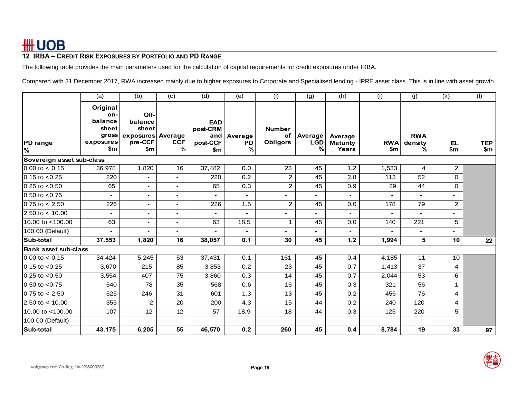## **12 IRBA – CREDIT RISK EXPOSURES BY PORTFOLIO AND PD RANGE**

The following table provides the main parameters used for the calculation of capital requirements for credit exposures under IRBA.

Compared with 31 December 2017, RWA increased mainly due to higher exposures to Corporate and Specialised lending - IPRE asset class. This is in line with asset growth.

|                             | (a)                                                              | (b)                                                             | (c)                      | (d)                                              | (e)                      | (f)                                    | (g)                        | (h)                                 | (i)               | (j)                        | (k)                      | (1)               |
|-----------------------------|------------------------------------------------------------------|-----------------------------------------------------------------|--------------------------|--------------------------------------------------|--------------------------|----------------------------------------|----------------------------|-------------------------------------|-------------------|----------------------------|--------------------------|-------------------|
| <b>PD</b> range<br><b>%</b> | Original<br>on-<br>balance<br>sheet<br>gross<br>exposures<br>\$m | Off-<br>balance<br>sheet<br>exposures Average<br>pre-CCF<br>\$m | <b>CCF</b><br>%          | <b>EAD</b><br>post-CRM<br>and<br>post-CCF<br>\$m | Average<br>PD<br>%       | <b>Number</b><br>of<br><b>Obligors</b> | Average<br><b>LGD</b><br>% | Average<br><b>Maturity</b><br>Years | <b>RWA</b><br>\$m | <b>RWA</b><br>density<br>% | EL.<br>\$m               | <b>TEP</b><br>\$m |
| Sovereign asset sub-class   |                                                                  |                                                                 |                          |                                                  |                          |                                        |                            |                                     |                   |                            |                          |                   |
| $0.00$ to $< 0.15$          | 36,978                                                           | 1,820                                                           | 16                       | 37,482                                           | 0.0                      | 23                                     | 45                         | 1.2                                 | 1,533             | 4                          | 2                        |                   |
| $0.15$ to $< 0.25$          | 220                                                              | $\overline{\phantom{0}}$                                        | $\overline{\phantom{a}}$ | 220                                              | 0.2                      | 2                                      | 45                         | 2.8                                 | 113               | 52                         | $\mathbf 0$              |                   |
| $0.25$ to $< 0.50$          | 65                                                               | Ξ.                                                              | $\overline{\phantom{a}}$ | 65                                               | 0.3                      | $\overline{2}$                         | 45                         | 0.9                                 | 29                | 44                         | 0                        |                   |
| $0.50$ to $< 0.75$          | $\overline{\phantom{0}}$                                         | ٠                                                               | $\sim$                   |                                                  |                          | ÷,                                     | ۰                          | $\overline{\phantom{0}}$            |                   | $\blacksquare$             | $\overline{\phantom{0}}$ |                   |
| $0.75$ to $< 2.50$          | 226                                                              | ٠                                                               | $\blacksquare$           | 226                                              | 1.5                      | $\overline{c}$                         | 45                         | 0.0                                 | 178               | 79                         | $\overline{2}$           |                   |
| $2.50 \text{ to} < 10.00$   | $\sim$                                                           | ٠                                                               | $\blacksquare$           |                                                  |                          |                                        |                            | $\overline{\phantom{0}}$            |                   |                            | $\overline{\phantom{0}}$ |                   |
| 10.00 to <100.00            | 63                                                               | ٠                                                               | $\blacksquare$           | 63                                               | 18.5                     | $\mathbf{1}$                           | 45                         | 0.0                                 | 140               | 221                        | 5                        |                   |
| 100.00 (Default)            | ٠                                                                |                                                                 | $\blacksquare$           |                                                  | $\overline{\phantom{a}}$ |                                        | -                          |                                     | ä,                | $\overline{\phantom{0}}$   | $\overline{\phantom{0}}$ |                   |
| Sub-total                   | 37,553                                                           | 1,820                                                           | 16                       | 38,057                                           | 0.1                      | 30                                     | 45                         | $1.2$                               | 1,994             | 5                          | 10                       | 22                |
| Bank asset sub-class        |                                                                  |                                                                 |                          |                                                  |                          |                                        |                            |                                     |                   |                            |                          |                   |
| $0.00$ to $< 0.15$          | 34,424                                                           | 5,245                                                           | 53                       | 37,431                                           | 0.1                      | 161                                    | 45                         | 0.4                                 | 4,185             | 11                         | 10                       |                   |
| $0.15$ to $< 0.25$          | 3,670                                                            | 215                                                             | 85                       | 3,853                                            | 0.2                      | 23                                     | 45                         | 0.7                                 | 1,413             | 37                         | 4                        |                   |
| $0.25$ to $< 0.50$          | 3,554                                                            | 407                                                             | 75                       | 3,860                                            | 0.3                      | 14                                     | 45                         | 0.7                                 | 2,044             | 53                         | 6                        |                   |
| $0.50$ to $< 0.75$          | 540                                                              | 78                                                              | 35                       | 568                                              | 0.6                      | 16                                     | 45                         | 0.3                                 | 321               | 56                         | 1                        |                   |
| $0.75$ to $< 2.50$          | 525                                                              | 246                                                             | 31                       | 601                                              | 1.3                      | 13                                     | 45                         | 0.2                                 | 456               | 76                         | 4                        |                   |
| 2.50 to $< 10.00$           | 355                                                              | $\overline{c}$                                                  | 20                       | 200                                              | 4.3                      | 15                                     | 44                         | 0.2                                 | 240               | 120                        | 4                        |                   |
| 10.00 to <100.00            | 107                                                              | 12                                                              | 12                       | 57                                               | 18.9                     | 18                                     | 44                         | 0.3                                 | 125               | 220                        | 5                        |                   |
| 100.00 (Default)            | $\blacksquare$                                                   |                                                                 | $\blacksquare$           |                                                  | $\blacksquare$           |                                        | ۰                          | $\overline{\phantom{0}}$            | $\blacksquare$    | ٠                          | $\overline{\phantom{0}}$ |                   |
| Sub-total                   | 43,175                                                           | 6,205                                                           | 55                       | 46,570                                           | 0.2                      | 260                                    | 45                         | 0.4                                 | 8,784             | 19                         | 33                       | 97                |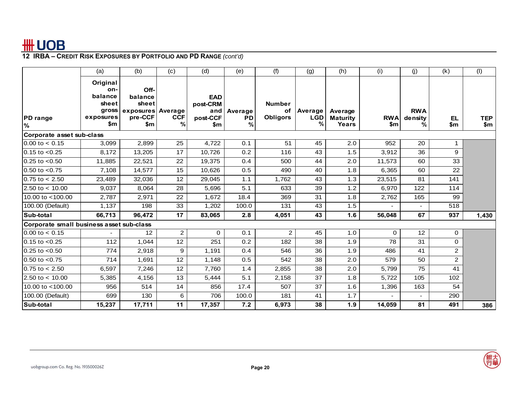|                                          | (a)                                                              | (b)                                                             | (c)             | (d)                                              | (e)                | (f)                                    | (g)                        | (h)                                 | (i)               | (j)                        | (k)            | (1)               |
|------------------------------------------|------------------------------------------------------------------|-----------------------------------------------------------------|-----------------|--------------------------------------------------|--------------------|----------------------------------------|----------------------------|-------------------------------------|-------------------|----------------------------|----------------|-------------------|
| <b>PD</b> range<br>%                     | Original<br>on-<br>balance<br>sheet<br>gross<br>exposures<br>\$m | Off-<br>balance<br>sheet<br>exposures Average<br>pre-CCF<br>\$m | <b>CCF</b><br>% | <b>EAD</b><br>post-CRM<br>and<br>post-CCF<br>\$m | Average<br>PD<br>% | <b>Number</b><br>of<br><b>Obligors</b> | Average<br><b>LGD</b><br>℀ | Average<br><b>Maturity</b><br>Years | <b>RWA</b><br>\$m | <b>RWA</b><br>density<br>% | EL.<br>\$m     | <b>TEP</b><br>\$m |
| Corporate asset sub-class                |                                                                  |                                                                 |                 |                                                  |                    |                                        |                            |                                     |                   |                            |                |                   |
| $0.00$ to $< 0.15$                       | 3,099                                                            | 2,899                                                           | 25              | 4,722                                            | 0.1                | 51                                     | 45                         | 2.0                                 | 952               | 20                         | 1              |                   |
| $0.15$ to $< 0.25$                       | 8,172                                                            | 13,205                                                          | 17              | 10,726                                           | 0.2                | 116                                    | 43                         | 1.5                                 | 3,912             | 36                         | 9              |                   |
| $0.25$ to $< 0.50$                       | 11,885                                                           | 22,521                                                          | 22              | 19,375                                           | 0.4                | 500                                    | 44                         | 2.0                                 | 11,573            | 60                         | 33             |                   |
| 0.50 to $< 0.75$                         | 7,108                                                            | 14,577                                                          | 15              | 10,626                                           | 0.5                | 490                                    | 40                         | 1.8                                 | 6,365             | 60                         | 22             |                   |
| $0.75$ to $< 2.50$                       | 23,489                                                           | 32,036                                                          | 12              | 29,045                                           | 1.1                | 1,762                                  | 43                         | 1.3                                 | 23,515            | 81                         | 141            |                   |
| 2.50 to $< 10.00$                        | 9,037                                                            | 8,064                                                           | 28              | 5,696                                            | 5.1                | 633                                    | 39                         | 1.2                                 | 6,970             | 122                        | 114            |                   |
| 10.00 to <100.00                         | 2,787                                                            | 2,971                                                           | 22              | 1.672                                            | 18.4               | 369                                    | 31                         | 1.8                                 | 2,762             | 165                        | 99             |                   |
| 100.00 (Default)                         | 1,137                                                            | 198                                                             | 33              | 1,202                                            | 100.0              | 131                                    | 43                         | 1.5                                 |                   |                            | 518            |                   |
| <b>Sub-total</b>                         | 66,713                                                           | 96,472                                                          | 17              | 83,065                                           | 2.8                | 4,051                                  | 43                         | 1.6                                 | 56,048            | 67                         | 937            | 1,430             |
| Corporate small business asset sub-class |                                                                  |                                                                 |                 |                                                  |                    |                                        |                            |                                     |                   |                            |                |                   |
| $0.00$ to $< 0.15$                       |                                                                  | 12                                                              | $\overline{2}$  | 0                                                | 0.1                | $\overline{c}$                         | 45                         | 1.0                                 | $\Omega$          | 12                         | 0              |                   |
| $0.15$ to $< 0.25$                       | 112                                                              | 1,044                                                           | 12              | 251                                              | 0.2                | 182                                    | 38                         | 1.9                                 | 78                | 31                         | 0              |                   |
| $0.25$ to $< 0.50$                       | 774                                                              | 2,918                                                           | 9               | 1,191                                            | 0.4                | 546                                    | 36                         | 1.9                                 | 486               | 41                         | $\overline{2}$ |                   |
| $0.50$ to $< 0.75$                       | 714                                                              | 1,691                                                           | 12              | 1,148                                            | 0.5                | 542                                    | 38                         | 2.0                                 | 579               | 50                         | $\overline{2}$ |                   |
| $0.75$ to $< 2.50$                       | 6,597                                                            | 7,246                                                           | 12              | 7,760                                            | 1.4                | 2,855                                  | 38                         | 2.0                                 | 5,799             | 75                         | 41             |                   |
| 2.50 to $< 10.00$                        | 5,385                                                            | 4,156                                                           | 13              | 5,444                                            | 5.1                | 2,158                                  | 37                         | 1.8                                 | 5,722             | 105                        | 102            |                   |
| 10.00 to <100.00                         | 956                                                              | 514                                                             | 14              | 856                                              | 17.4               | 507                                    | 37                         | 1.6                                 | 1,396             | 163                        | 54             |                   |
| 100.00 (Default)                         | 699                                                              | 130                                                             | 6               | 706                                              | 100.0              | 181                                    | 41                         | 1.7                                 |                   |                            | 290            |                   |
| Sub-total                                | 15,237                                                           | 17,711                                                          | 11              | 17,357                                           | 7.2                | 6,973                                  | 38                         | 1.9                                 | 14,059            | 81                         | 491            | 386               |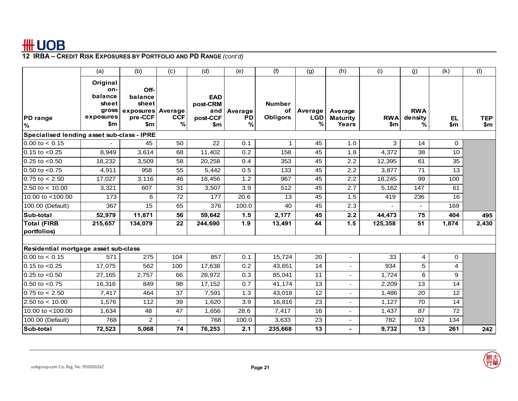|                                            | (a)                                                              | (b)                                                             | (c)             | (d)                                              | (e)                       | (f)                                    | (g)                               | (h)                                 | (i)               | (i)                        | (k)              | (1)               |
|--------------------------------------------|------------------------------------------------------------------|-----------------------------------------------------------------|-----------------|--------------------------------------------------|---------------------------|----------------------------------------|-----------------------------------|-------------------------------------|-------------------|----------------------------|------------------|-------------------|
| <b>PD</b> range<br>%                       | Original<br>on-<br>balance<br>sheet<br>gross<br>exposures<br>\$m | Off-<br>balance<br>sheet<br>exposures Average<br>pre-CCF<br>\$m | <b>CCF</b><br>% | <b>EAD</b><br>post-CRM<br>and<br>post-CCF<br>\$m | Average<br><b>PD</b><br>% | <b>Number</b><br>оf<br><b>Obligors</b> | <b>Average</b><br><b>LGD</b><br>℀ | Average<br><b>Maturity</b><br>Years | <b>RWA</b><br>\$m | <b>RWA</b><br>density<br>% | <b>EL</b><br>\$m | <b>TEP</b><br>\$m |
| Specialised lending asset sub-class - IPRE |                                                                  |                                                                 |                 |                                                  |                           |                                        |                                   |                                     |                   |                            |                  |                   |
| $0.00$ to $< 0.15$                         |                                                                  | 45                                                              | 50              | 22                                               | 0.1                       |                                        | 45                                | 1.0                                 | 3                 | 14                         | 0                |                   |
| $0.15$ to $< 0.25$                         | 8,949                                                            | 3,614                                                           | 68              | 11,402                                           | 0.2                       | 158                                    | 45                                | 1.8                                 | 4,372             | 38                         | 10               |                   |
| $0.25$ to $< 0.50$                         | 18,232                                                           | 3,509                                                           | 58              | 20,258                                           | 0.4                       | 353                                    | 45                                | 2.2                                 | 12,395            | 61                         | 35               |                   |
| $0.50$ to $< 0.75$                         | 4,911                                                            | 958                                                             | 55              | 5.442                                            | 0.5                       | 133                                    | 45                                | 2.2                                 | 3,877             | 71                         | 13               |                   |
| $0.75$ to $< 2.50$                         | 17,027                                                           | 3,116                                                           | 46              | 18,456                                           | 1.2                       | 967                                    | 45                                | 2.2                                 | 18,245            | 99                         | 100              |                   |
| 2.50 to $< 10.00$                          | 3,321                                                            | 607                                                             | 31              | 3,507                                            | 3.9                       | 512                                    | 45                                | 2.7                                 | 5,162             | 147                        | 61               |                   |
| 10.00 to <100.00                           | 173                                                              | 6                                                               | 72              | 177                                              | 20.6                      | 13                                     | 45                                | 1.5                                 | 419               | 236                        | 16               |                   |
| 100.00 (Default)                           | 367                                                              | $\overline{15}$                                                 | 65              | 376                                              | 100.0                     | 40                                     | 45                                | 2.3                                 |                   |                            | 169              |                   |
| Sub-total                                  | 52,979                                                           | 11,871                                                          | 56              | 59,642                                           | 1.5                       | 2,177                                  | 45                                | 2.2                                 | 44,473            | 75                         | 404              | 495               |
| <b>Total (FIRB</b><br>portfolios)          | 215,657                                                          | 134,079                                                         | 22              | 244,690                                          | 1.9                       | 13,491                                 | 44                                | 1.5                                 | 125,358           | 51                         | 1,874            | 2,430             |
| Residential mortgage asset sub-class       |                                                                  |                                                                 |                 |                                                  |                           |                                        |                                   |                                     |                   |                            |                  |                   |
| $0.00$ to $< 0.15$                         | 571                                                              | 275                                                             | 104             | 857                                              | 0.1                       | 15,724                                 | 20                                | $\blacksquare$                      | 33                | 4                          | 0                |                   |
| $0.15$ to $< 0.25$                         | 17,075                                                           | 562                                                             | 100             | 17,638                                           | 0.2                       | 43,651                                 | 14                                | $\blacksquare$                      | 934               | 5                          | 4                |                   |
| $0.25$ to $< 0.50$                         | 27,165                                                           | 2,757                                                           | 66              | 28.972                                           | 0.3                       | 85,041                                 | 11                                | $\blacksquare$                      | 1.724             | 6                          | 9                |                   |
| $0.50$ to $< 0.75$                         | 16,316                                                           | 849                                                             | 98              | 17,152                                           | 0.7                       | 41,174                                 | 13                                | $\overline{a}$                      | 2,209             | 13                         | 14               |                   |
| $0.75$ to $< 2.50$                         | 7,417                                                            | 464                                                             | 37              | 7,591                                            | 1.3                       | 43,018                                 | 12                                | $\overline{a}$                      | 1,486             | 20                         | 12               |                   |
| 2.50 to $<$ 10.00                          | 1,576                                                            | 112                                                             | 39              | 1,620                                            | 3.9                       | 16,816                                 | 23                                | $\overline{a}$                      | 1,127             | 70                         | 14               |                   |
| 10.00 to <100.00                           | 1,634                                                            | 48                                                              | 47              | 1,656                                            | 28.6                      | 7,417                                  | 16                                | ۰                                   | 1,437             | 87                         | 72               |                   |
| 100.00 (Default)                           | 768                                                              | 2                                                               |                 | 768                                              | 100.0                     | 3,633                                  | 23                                |                                     | 782               | 102                        | 134              |                   |
| Sub-total                                  | 72,523                                                           | 5,068                                                           | 74              | 76,253                                           | 2.1                       | 235,668                                | 13                                | ۰                                   | 9,732             | 13                         | 261              | 242               |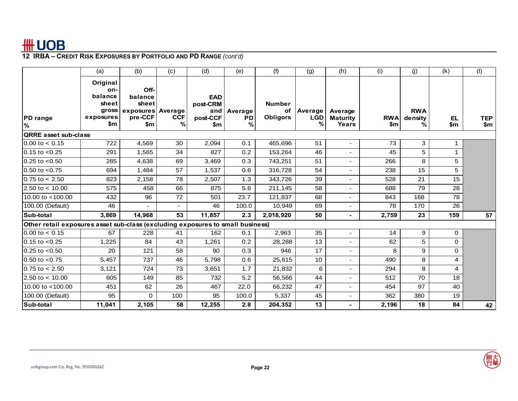|                                                                                | (a)                                                              | (b)                                                             | (c)             | (d)                                              | (e)                       | (f)                                    | (g)                        | (h)                                 | (i)               | (j)                        | (k)        | (1)               |
|--------------------------------------------------------------------------------|------------------------------------------------------------------|-----------------------------------------------------------------|-----------------|--------------------------------------------------|---------------------------|----------------------------------------|----------------------------|-------------------------------------|-------------------|----------------------------|------------|-------------------|
| <b>PD</b> range<br>%                                                           | Original<br>on-<br>balance<br>sheet<br>gross<br>exposures<br>\$m | Off-<br>balance<br>sheet<br>exposures Average<br>pre-CCF<br>\$m | <b>CCF</b><br>% | <b>EAD</b><br>post-CRM<br>and<br>post-CCF<br>\$m | Average<br><b>PD</b><br>% | <b>Number</b><br>of<br><b>Obligors</b> | Average<br><b>LGD</b><br>℀ | Average<br><b>Maturity</b><br>Years | <b>RWA</b><br>\$m | <b>RWA</b><br>density<br>% | EL.<br>\$m | <b>TEP</b><br>\$m |
| <b>QRRE</b> asset sub-class                                                    |                                                                  |                                                                 |                 |                                                  |                           |                                        |                            |                                     |                   |                            |            |                   |
| $0.00$ to $< 0.15$                                                             | 722                                                              | 4,569                                                           | 30              | 2,094                                            | 0.1                       | 465,696                                | 51                         | ٠                                   | 73                | 3                          | 1          |                   |
| $0.15$ to $< 0.25$                                                             | 291                                                              | 1,565                                                           | 34              | 827                                              | 0.2                       | 153,264                                | 46                         |                                     | 45                | 5                          | 1          |                   |
| $0.25$ to $< 0.50$                                                             | 285                                                              | 4,638                                                           | 69              | 3,469                                            | 0.3                       | 743,251                                | 51                         | ۰.                                  | 266               | 8                          | 5          |                   |
| 0.50 to $< 0.75$                                                               | 694                                                              | 1,484                                                           | 57              | 1,537                                            | 0.6                       | 316,728                                | 54                         | ۰                                   | 238               | 15                         | 5          |                   |
| $0.75$ to $< 2.50$                                                             | 823                                                              | 2,158                                                           | 78              | 2,507                                            | 1.3                       | 343,726                                | 39                         | ٠                                   | 528               | 21                         | 15         |                   |
| $2.50 \text{ to} < 10.00$                                                      | 575                                                              | 458                                                             | 66              | 875                                              | 5.6                       | 211,145                                | 58                         | ٠                                   | 688               | 79                         | 28         |                   |
| 10.00 to $<$ 100.00                                                            | 432                                                              | 96                                                              | 72              | 501                                              | 23.7                      | 121,837                                | 68                         | ٠                                   | 843               | 168                        | 78         |                   |
| 100.00 (Default)                                                               | 46                                                               |                                                                 |                 | 46                                               | 100.0                     | 10,949                                 | 69                         | ٠                                   | 78                | 170                        | 26         |                   |
| Sub-total                                                                      | 3,869                                                            | 14,968                                                          | 53              | 11,857                                           | 2.3                       | 2,018,920                              | 50                         | $\overline{\phantom{0}}$            | 2,759             | 23                         | 159        | 57                |
| Other retail exposures asset sub-class (excluding exposures to small business) |                                                                  |                                                                 |                 |                                                  |                           |                                        |                            |                                     |                   |                            |            |                   |
| $0.00$ to $< 0.15$                                                             | 67                                                               | 228                                                             | 41              | 162                                              | 0.1                       | 2,963                                  | 35                         |                                     | 14                | 9                          | 0          |                   |
| $0.15$ to $< 0.25$                                                             | 1,225                                                            | 84                                                              | 43              | 1,261                                            | 0.2                       | 28,288                                 | 13                         |                                     | 62                | 5                          | 0          |                   |
| $0.25$ to $< 0.50$                                                             | 20                                                               | 121                                                             | 58              | 90                                               | 0.3                       | 946                                    | 17                         | ۰                                   | 8                 | 9                          | $\Omega$   |                   |
| $0.50$ to $< 0.75$                                                             | 5,457                                                            | 737                                                             | 46              | 5,798                                            | 0.6                       | 25,615                                 | 10                         | Ξ.                                  | 490               | 8                          | 4          |                   |
| $0.75$ to $< 2.50$                                                             | 3,121                                                            | 724                                                             | 73              | 3,651                                            | 1.7                       | 21,832                                 | 6                          | ٠                                   | 294               | 8                          | 4          |                   |
| 2.50 to $< 10.00$                                                              | 605                                                              | 149                                                             | 85              | 732                                              | 5.2                       | 56,566                                 | 44                         |                                     | 512               | 70                         | 18         |                   |
| 10.00 to <100.00                                                               | 451                                                              | 62                                                              | 26              | 467                                              | 22.0                      | 66,232                                 | 47                         | ٠                                   | 454               | 97                         | 40         |                   |
| 100.00 (Default)                                                               | 95                                                               | 0                                                               | 100             | 95                                               | 100.0                     | 5,337                                  | 45                         | ٠                                   | 362               | 380                        | 19         |                   |
| Sub-total                                                                      | 11,041                                                           | 2,105                                                           | 58              | 12,255                                           | 2.8                       | 204,352                                | 13                         | $\sim$                              | 2,196             | 18                         | 84         | 42                |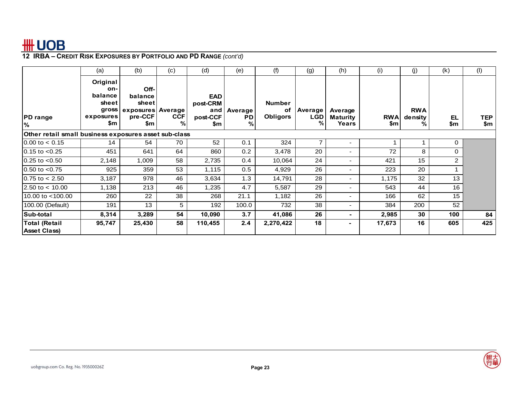|                                                       | (a)                                                              | (b)                                                             | (c)             | (d)                                       | (e)                              | (f)                                    | (g)                 | (h)                                 | (i)               | (j)                         | (k)       | (1)        |
|-------------------------------------------------------|------------------------------------------------------------------|-----------------------------------------------------------------|-----------------|-------------------------------------------|----------------------------------|----------------------------------------|---------------------|-------------------------------------|-------------------|-----------------------------|-----------|------------|
| <b>PD</b> range<br>%                                  | Original<br>on-<br>balance<br>sheet<br>gross<br>exposures<br>\$m | Off-<br>balance<br>sheet<br>exposures Average<br>pre-CCF<br>\$m | <b>CCF</b><br>% | EAD<br>post-CRM<br>and<br>post-CCF<br>\$m | <b>Average</b><br><b>PD</b><br>% | <b>Number</b><br>оf<br><b>Obligors</b> | Average<br>LGD<br>℀ | Average<br><b>Maturity</b><br>Years | <b>RWA</b><br>\$m | <b>RWA</b><br>density<br>%. | EL<br>\$m | TEP<br>\$m |
| Other retail small business exposures asset sub-class |                                                                  |                                                                 |                 |                                           |                                  |                                        |                     |                                     |                   |                             |           |            |
| $0.00$ to $< 0.15$                                    | 14                                                               | 54                                                              | 70              | 52                                        | 0.1                              | 324                                    |                     | ٠                                   |                   |                             | 0         |            |
| $0.15$ to $< 0.25$                                    | 451                                                              | 641                                                             | 64              | 860                                       | 0.2                              | 3,478                                  | 20                  | ۰.                                  | 72                | 8                           | 0         |            |
| $0.25$ to $< 0.50$                                    | 2,148                                                            | 1,009                                                           | 58              | 2,735                                     | 0.4                              | 10,064                                 | 24                  | Ξ.                                  | 421               | 15                          | 2         |            |
| $0.50$ to $< 0.75$                                    | 925                                                              | 359                                                             | 53              | 1,115                                     | 0.5                              | 4,929                                  | 26                  | ۰.                                  | 223               | 20                          |           |            |
| $0.75$ to $< 2.50$                                    | 3,187                                                            | 978                                                             | 46              | 3,634                                     | 1.3                              | 14,791                                 | 28                  | ۰.                                  | 1,175             | 32                          | 13        |            |
| 2.50 to $<$ 10.00                                     | 1,138                                                            | 213                                                             | 46              | 1,235                                     | 4.7                              | 5,587                                  | 29                  | ۰.                                  | 543               | 44                          | 16        |            |
| 10.00 to <100.00                                      | 260                                                              | 22                                                              | 38              | 268                                       | 21.1                             | 1,182                                  | 26                  | ۰.                                  | 166               | 62                          | 15        |            |
| 100.00 (Default)                                      | 191                                                              | 13                                                              | 5               | 192                                       | 100.0                            | 732                                    | 38                  | ۰.                                  | 384               | 200                         | 52        |            |
| Sub-total                                             | 8,314                                                            | 3,289                                                           | 54              | 10,090                                    | 3.7                              | 41,086                                 | 26                  |                                     | 2,985             | 30                          | 100       | 84         |
| <b>Total (Retail</b><br><b>Asset Class)</b>           | 95,747                                                           | 25,430                                                          | 58              | 110,455                                   | 2.4                              | 2,270,422                              | 18                  |                                     | 17,673            | 16                          | 605       | 425        |

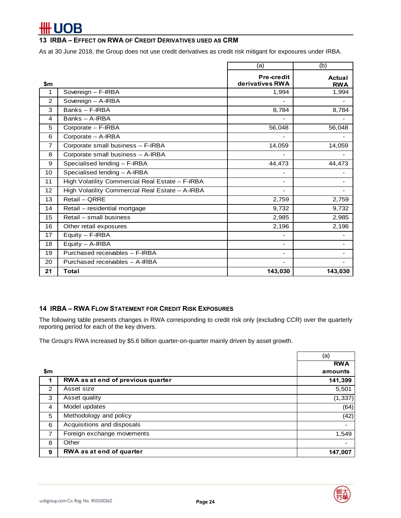# OB

### **13 IRBA – EFFECT ON RWA OF CREDIT DERIVATIVES USED AS CRM**

As at 30 June 2018, the Group does not use credit derivatives as credit risk mitigant for exposures under IRBA.

|                |                                                 | (a)                           | (b)                         |
|----------------|-------------------------------------------------|-------------------------------|-----------------------------|
| \$m            |                                                 | Pre-credit<br>derivatives RWA | <b>Actual</b><br><b>RWA</b> |
| 1              | Sovereign - F-IRBA                              | 1,994                         | 1,994                       |
| 2              | Sovereign - A-IRBA                              |                               |                             |
| 3              | Banks - F-IRBA                                  | 8,784                         | 8,784                       |
| $\overline{4}$ | Banks - A-IRBA                                  |                               |                             |
| 5              | Corporate - F-IRBA                              | 56,048                        | 56,048                      |
| 6              | Corporate - A-IRBA                              | $\overline{\phantom{a}}$      |                             |
| $\overline{7}$ | Corporate small business - F-IRBA               | 14,059                        | 14,059                      |
| 8              | Corporate small business - A-IRBA               | $\overline{\phantom{a}}$      |                             |
| 9              | Specialised lending - F-IRBA                    | 44,473                        | 44,473                      |
| 10             | Specialised lending - A-IRBA                    | -                             |                             |
| 11             | High Volatility Commercial Real Estate - F-IRBA | $\overline{\phantom{a}}$      |                             |
| 12             | High Volatility Commercial Real Estate - A-IRBA | ۰                             |                             |
| 13             | Retail - ORRE                                   | 2,759                         | 2,759                       |
| 14             | Retail - residential mortgage                   | 9,732                         | 9,732                       |
| 15             | Retail - small business                         | 2,985                         | 2,985                       |
| 16             | Other retail exposures                          | 2,196                         | 2,196                       |
| 17             | Equity - F-IRBA                                 | $\overline{\phantom{a}}$      | ٠                           |
| 18             | $Equity - A-IRBA$                               | $\blacksquare$                | Ξ.                          |
| 19             | Purchased receivables - F-IRBA                  | -                             |                             |
| 20             | Purchased receivables - A-IRBA                  | ۰                             |                             |
| 21             | Total                                           | 143,030                       | 143,030                     |

### **14 IRBA – RWA FLOW STATEMENT FOR CREDIT RISK EXPOSURES**

The following table presents changes in RWA corresponding to credit risk only (excluding CCR) over the quarterly reporting period for each of the key drivers.

The Group's RWA increased by \$5.6 billion quarter-on-quarter mainly driven by asset growth.

|                |                                   | (a)                      |
|----------------|-----------------------------------|--------------------------|
|                |                                   | <b>RWA</b>               |
| \$m            |                                   | amounts                  |
|                | RWA as at end of previous quarter | 141,399                  |
| 2              | Asset size                        | 5,501                    |
| 3              | Asset quality                     | (1, 337)                 |
| 4              | Model updates                     | (64)                     |
| 5              | Methodology and policy            | (42)                     |
| 6              | Acquisitions and disposals        | $\blacksquare$           |
| $\overline{7}$ | Foreign exchange movements        | 1,549                    |
| 8              | Other                             | $\overline{\phantom{0}}$ |
| 9              | RWA as at end of quarter          | 147,007                  |

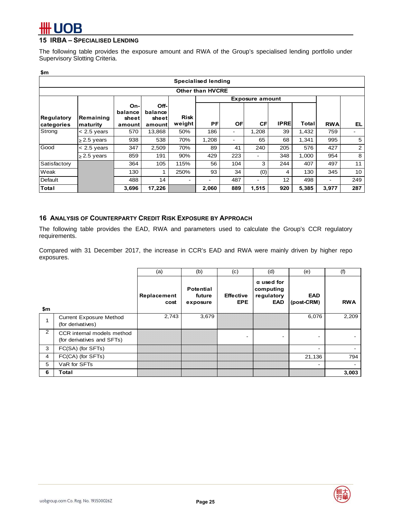## **15 IRBA – SPECIALISED LENDING**

The following table provides the exposure amount and RWA of the Group's specialised lending portfolio under Supervisory Slotting Criteria.

| \$m                             |                       |                                   |                                      |                          |                         |     |                          |                   |       |            |                          |
|---------------------------------|-----------------------|-----------------------------------|--------------------------------------|--------------------------|-------------------------|-----|--------------------------|-------------------|-------|------------|--------------------------|
|                                 |                       |                                   |                                      |                          | Specialised lending     |     |                          |                   |       |            |                          |
|                                 |                       |                                   |                                      |                          | <b>Other than HVCRE</b> |     |                          |                   |       |            |                          |
|                                 |                       |                                   |                                      |                          |                         |     | <b>Exposure amount</b>   |                   |       |            |                          |
| <b>Regulatory</b><br>categories | Remaining<br>maturity | On-<br>balance<br>sheet<br>amount | Off-<br>balance<br>sheetl<br>amountl | <b>Risk</b><br>weight    | PF                      | OF  | <b>CF</b>                | <b>IPRE</b>       | Total | <b>RWA</b> | EL.                      |
| Strong                          | $< 2.5$ years         | 570                               | 13,868                               | 50%                      | 186                     | -   | 1,208                    | 39                | 1,432 | 759        | $\overline{\phantom{0}}$ |
|                                 | $\geq$ 2.5 years      | 938                               | 538                                  | 70%                      | 1,208                   |     | 65                       | 68                | 1,341 | 995        | 5                        |
| Good                            | $< 2.5$ years         | 347                               | 2,509                                | 70%                      | 89                      | 41  | 240                      | 205               | 576   | 427        | 2                        |
|                                 | $\geq$ 2.5 years      | 859                               | 191                                  | 90%                      | 429                     | 223 | $\overline{\phantom{a}}$ | 348               | 1,000 | 954        | 8                        |
| Satisfactory                    |                       | 364                               | 105                                  | 115%                     | 56                      | 104 | 3                        | 244               | 407   | 497        | 11                       |
| Weak                            |                       | 130                               |                                      | 250%                     | 93                      | 34  | (0)                      | 4                 | 130   | 345        | 10                       |
| Default                         |                       | 488                               | 14                                   | $\overline{\phantom{a}}$ | -                       | 487 | $\overline{\phantom{a}}$ | $12 \overline{ }$ | 498   | ۰          | 249                      |
| <b>Total</b>                    |                       | 3,696                             | 17,226                               |                          | 2,060                   | 889 | 1,515                    | 920               | 5,385 | 3,977      | 287                      |

## **16 ANALYSIS OF COUNTERPARTY CREDIT RISK EXPOSURE BY APPROACH**

The following table provides the EAD, RWA and parameters used to calculate the Group's CCR regulatory requirements.

Compared with 31 December 2017, the increase in CCR's EAD and RWA were mainly driven by higher repo exposures.

|                |                                                          | (a)                 | (b)                                    | (c)                            | (d)                                                 | (e)                      | (f)        |
|----------------|----------------------------------------------------------|---------------------|----------------------------------------|--------------------------------|-----------------------------------------------------|--------------------------|------------|
| \$m            |                                                          | Replacement<br>cost | <b>Potential</b><br>future<br>exposure | <b>Effective</b><br><b>EPE</b> | $\alpha$ used for<br>computing<br>regulatory<br>EAD | <b>EAD</b><br>(post-CRM) | <b>RWA</b> |
|                | <b>Current Exposure Method</b><br>(for derivatives)      | 2,743               | 3,679                                  |                                |                                                     | 6,076                    | 2,209      |
| $\overline{2}$ | CCR internal models method<br>(for derivatives and SFTs) |                     |                                        | -                              |                                                     |                          |            |
| 3              | FC(SA) (for SFTs)                                        |                     |                                        |                                |                                                     |                          |            |
| 4              | FC(CA) (for SFTs)                                        |                     |                                        |                                |                                                     | 21,136                   | 794        |
| 5              | VaR for SFTs                                             |                     |                                        |                                |                                                     |                          |            |
| 6              | Total                                                    |                     |                                        |                                |                                                     |                          | 3,003      |

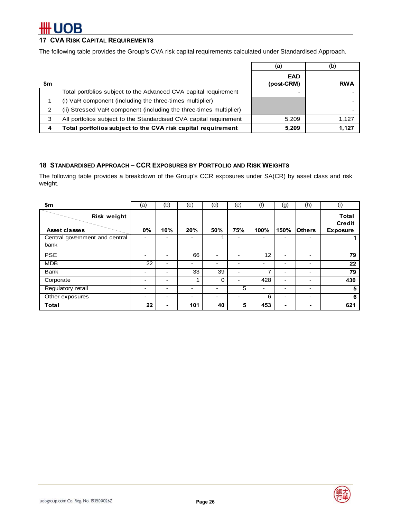# OB

## **17 CVA RISK CAPITAL REQUIREMENTS**

The following table provides the Group's CVA risk capital requirements calculated under Standardised Approach.

|     |                                                                    | (a)                      | (b)        |
|-----|--------------------------------------------------------------------|--------------------------|------------|
| \$m |                                                                    | <b>EAD</b><br>(post-CRM) | <b>RWA</b> |
|     | Total portfolios subject to the Advanced CVA capital requirement   | -                        |            |
|     | (i) VaR component (including the three-times multiplier)           |                          |            |
| 2   | (ii) Stressed VaR component (including the three-times multiplier) |                          |            |
| 3   | All portfolios subject to the Standardised CVA capital requirement | 5,209                    | 1,127      |
| 4   | Total portfolios subject to the CVA risk capital requirement       | 5,209                    | 1,127      |

### **18 STANDARDISED APPROACH – CCR EXPOSURES BY PORTFOLIO AND RISK WEIGHTS**

The following table provides a breakdown of the Group's CCR exposures under SA(CR) by asset class and risk weight.

| \$m                                    | (a) | (b) | (c) | (d)                      | (e)                      | (f)             | (g)                      | (h)            | (i)                                              |
|----------------------------------------|-----|-----|-----|--------------------------|--------------------------|-----------------|--------------------------|----------------|--------------------------------------------------|
| Risk weight<br>Asset classes           | 0%  | 10% | 20% | 50%                      | 75%                      | 100%            | 150%                     | <b>lOthers</b> | <b>Total</b><br><b>Credit</b><br><b>Exposure</b> |
| Central government and central<br>bank |     |     |     |                          |                          |                 | -                        |                |                                                  |
| <b>PSE</b>                             | -   | -   | 66  |                          | <b>1</b>                 | 12 <sup>2</sup> | $\overline{\phantom{0}}$ |                | 79                                               |
| <b>MDB</b>                             | 22  | -   | -   | $\blacksquare$           | $\overline{\phantom{a}}$ | -               | $\overline{\phantom{0}}$ | -              | 22                                               |
| <b>Bank</b>                            | -   | -   | 33  | 39                       | $\overline{\phantom{a}}$ | 7               | $\overline{\phantom{0}}$ | -              | 79                                               |
| Corporate                              | -   | -   |     | $\Omega$                 | $\overline{\phantom{a}}$ | 428             | $\overline{\phantom{0}}$ | -              | 430                                              |
| Regulatory retail                      | -   | -   | ۰   | $\overline{\phantom{0}}$ | 5                        | $\blacksquare$  | $\overline{\phantom{0}}$ |                | 5                                                |
| Other exposures                        | -   |     | ۰   | $\blacksquare$           |                          | 6               | $\overline{\phantom{0}}$ | -              | 6                                                |
| Total                                  | 22  | -   | 101 | 40                       | 5                        | 453             | ۰                        | ۰              | 621                                              |

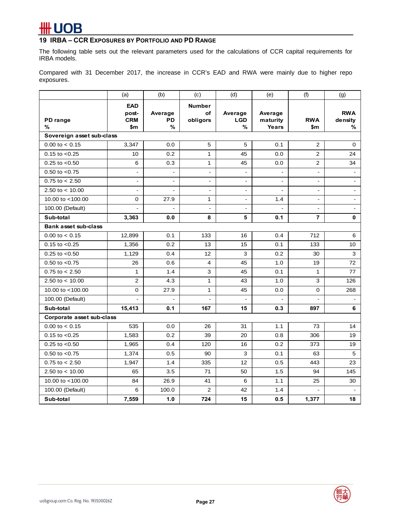# # UOB

## **19 IRBA – CCR EXPOSURES BY PORTFOLIO AND PD RANGE**

The following table sets out the relevant parameters used for the calculations of CCR capital requirements for IRBA models.

Compared with 31 December 2017, the increase in CCR's EAD and RWA were mainly due to higher repo exposures.

|                             | (a)                                      | (b)                       | (c)                                        | (d)                        | (e)                          | (f)                  | (g)                        |
|-----------------------------|------------------------------------------|---------------------------|--------------------------------------------|----------------------------|------------------------------|----------------------|----------------------------|
| PD range<br>%               | <b>EAD</b><br>post-<br><b>CRM</b><br>\$m | Average<br><b>PD</b><br>% | <b>Number</b><br>$\mathsf{of}$<br>obligors | Average<br><b>LGD</b><br>% | Average<br>maturity<br>Years | <b>RWA</b><br>\$m    | <b>RWA</b><br>density<br>% |
| Sovereign asset sub-class   |                                          |                           |                                            |                            |                              |                      |                            |
| $0.00$ to $< 0.15$          | 3,347                                    | 0.0                       | 5                                          | 5                          | 0.1                          | 2                    | $\mathbf 0$                |
| $0.15$ to $< 0.25$          | 10                                       | 0.2                       | $\mathbf{1}$                               | 45                         | 0.0                          | $\overline{2}$       | 24                         |
| $0.25$ to $< 0.50$          | 6                                        | 0.3                       | 1                                          | 45                         | 0.0                          | 2                    | 34                         |
| $0.50$ to $< 0.75$          | $\overline{a}$                           | $\overline{a}$            | $\blacksquare$                             | $\blacksquare$             | ÷.                           | $\blacksquare$       | $\blacksquare$             |
| $0.75$ to $< 2.50$          | $\blacksquare$                           | $\blacksquare$            | $\blacksquare$                             | $\blacksquare$             | $\overline{\phantom{a}}$     | $\blacksquare$       | $\blacksquare$             |
| 2.50 to $<$ 10.00           | $\blacksquare$                           | $\blacksquare$            | $\sim$                                     | $\blacksquare$             | $\sim$                       | $\blacksquare$       | $\blacksquare$             |
| 10.00 to <100.00            | $\mathbf 0$                              | 27.9                      | $\mathbf{1}$                               | $\overline{\phantom{a}}$   | 1.4                          | $\overline{a}$       | ÷                          |
| 100.00 (Default)            | ä,                                       |                           | $\sim$                                     | $\overline{\phantom{a}}$   |                              | $\ddot{\phantom{a}}$ | $\mathbf{r}$               |
| Sub-total                   | 3,363                                    | 0.0                       | 8                                          | 5                          | 0.1                          | 7                    | $\mathbf 0$                |
| <b>Bank asset sub-class</b> |                                          |                           |                                            |                            |                              |                      |                            |
| $0.00$ to $< 0.15$          | 12,899                                   | 0.1                       | 133                                        | 16                         | 0.4                          | 712                  | 6                          |
| $0.15$ to $< 0.25$          | 1,356                                    | 0.2                       | 13                                         | 15                         | 0.1                          | 133                  | 10                         |
| $0.25$ to $< 0.50$          | 1,129                                    | 0.4                       | 12                                         | 3                          | 0.2                          | 30                   | 3                          |
| $0.50$ to $< 0.75$          | 26                                       | 0.6                       | 4                                          | 45                         | 1.0                          | 19                   | 72                         |
| $0.75$ to $< 2.50$          | $\mathbf{1}$                             | 1.4                       | 3                                          | 45                         | 0.1                          | $\mathbf{1}$         | 77                         |
| 2.50 to $<$ 10.00           | $\overline{c}$                           | 4.3                       | $\mathbf{1}$                               | 43                         | 1.0                          | 3                    | 126                        |
| 10.00 to <100.00            | 0                                        | 27.9                      | 1                                          | 45                         | 0.0                          | 0                    | 268                        |
| 100.00 (Default)            | $\overline{a}$                           |                           |                                            | $\overline{a}$             |                              |                      |                            |
| Sub-total                   | 15,413                                   | 0.1                       | 167                                        | 15                         | 0.3                          | 897                  | 6                          |
| Corporate asset sub-class   |                                          |                           |                                            |                            |                              |                      |                            |
| $0.00$ to $< 0.15$          | 535                                      | 0.0                       | 26                                         | 31                         | 1.1                          | 73                   | 14                         |
| $0.15$ to $< 0.25$          | 1,583                                    | 0.2                       | 39                                         | 20                         | 0.8                          | 306                  | 19                         |
| $0.25$ to $< 0.50$          | 1,965                                    | 0.4                       | 120                                        | 16                         | 0.2                          | 373                  | 19                         |
| $0.50$ to $< 0.75$          | 1,374                                    | 0.5                       | 90                                         | 3                          | 0.1                          | 63                   | 5                          |
| $0.75$ to $< 2.50$          | 1,947                                    | 1.4                       | 335                                        | 12                         | 0.5                          | 443                  | 23                         |
| 2.50 to $<$ 10.00           | 65                                       | 3.5                       | 71                                         | 50                         | 1.5                          | 94                   | 145                        |
| 10.00 to <100.00            | 84                                       | 26.9                      | 41                                         | 6                          | 1.1                          | 25                   | 30                         |
| 100.00 (Default)            | 6                                        | 100.0                     | 2                                          | 42                         | 1.4                          |                      |                            |
| Sub-total                   | 7,559                                    | 1.0                       | 724                                        | 15                         | 0.5                          | 1,377                | 18                         |

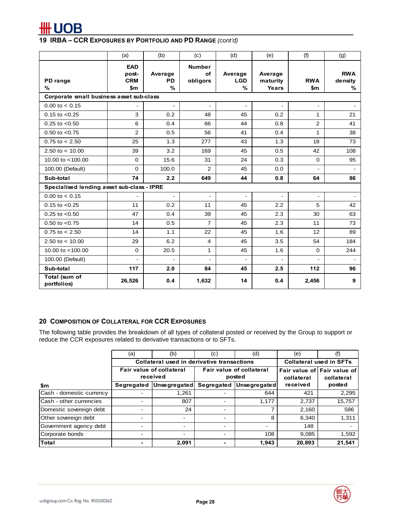

|                                            | (a)                                      | (b)                       | (c)                             | (d)                        | (e)                          | (f)               | (g)                        |
|--------------------------------------------|------------------------------------------|---------------------------|---------------------------------|----------------------------|------------------------------|-------------------|----------------------------|
| PD range<br>$\frac{9}{6}$                  | <b>EAD</b><br>post-<br><b>CRM</b><br>\$m | Average<br><b>PD</b><br>% | <b>Number</b><br>of<br>obligors | Average<br><b>LGD</b><br>% | Average<br>maturity<br>Years | <b>RWA</b><br>\$m | <b>RWA</b><br>density<br>% |
| Corporate small business asset sub-class   |                                          |                           |                                 |                            |                              |                   |                            |
| $0.00$ to $< 0.15$                         |                                          | $\overline{a}$            | $\mathbf{r}$                    | ÷,                         | $\mathbf{r}$                 |                   | $\sim$                     |
| $0.15$ to $< 0.25$                         | 3                                        | 0.2                       | 48                              | 45                         | 0.2                          | $\mathbf{1}$      | 21                         |
| $0.25$ to $< 0.50$                         | 6                                        | 0.4                       | 66                              | 44                         | 0.8                          | 2                 | 41                         |
| $0.50$ to $< 0.75$                         | 2                                        | 0.5                       | 56                              | 41                         | 0.4                          | $\mathbf{1}$      | 38                         |
| $0.75$ to $< 2.50$                         | 25                                       | 1.3                       | 277                             | 43                         | 1.3                          | 18                | 73                         |
| 2.50 to $< 10.00$                          | 39                                       | 3.2                       | 169                             | 45                         | 0.5                          | 42                | 108                        |
| 10.00 to <100.00                           | $\mathbf 0$                              | 15.6                      | 31                              | 24                         | 0.3                          | $\Omega$          | 95                         |
| 100.00 (Default)                           | $\Omega$                                 | 100.0                     | 2                               | 45                         | 0.0                          |                   |                            |
| Sub-total                                  | 74                                       | 2.2                       | 649                             | 44                         | 0.8                          | 64                | 86                         |
| Specialised lending asset sub-class - IPRE |                                          |                           |                                 |                            |                              |                   |                            |
| $0.00$ to $< 0.15$                         |                                          |                           |                                 | $\overline{a}$             |                              |                   |                            |
| $0.15$ to $< 0.25$                         | 11                                       | 0.2                       | 11                              | 45                         | 2.2                          | 5                 | 42                         |
| $0.25$ to $< 0.50$                         | 47                                       | 0.4                       | 39                              | 45                         | 2.3                          | 30                | 63                         |
| $0.50$ to $< 0.75$                         | 14                                       | 0.5                       | $\overline{7}$                  | 45                         | 2.3                          | 11                | 73                         |
| $0.75$ to $< 2.50$                         | 14                                       | 1.1                       | 22                              | 45                         | 1.6                          | 12                | 89                         |
| 2.50 to $< 10.00$                          | 29                                       | 6.2                       | $\overline{4}$                  | 45                         | 3.5                          | 54                | 184                        |
| 10.00 to <100.00                           | $\mathbf 0$                              | 20.5                      | 1                               | 45                         | 1.6                          | $\Omega$          | 244                        |
| 100.00 (Default)                           | ÷.                                       | ÷,                        | $\sim$                          | $\blacksquare$             | $\blacksquare$               |                   | $\blacksquare$             |
| Sub-total                                  | 117                                      | 2.0                       | 84                              | 45                         | 2.5                          | 112               | 96                         |
| Total (sum of<br>portfolios)               | 26,526                                   | 0.4                       | 1,632                           | 14                         | 0.4                          | 2,456             | 9                          |

#### **20 COMPOSITION OF COLLATERAL FOR CCR EXPOSURES**

The following table provides the breakdown of all types of collateral posted or received by the Group to support or reduce the CCR exposures related to derivative transactions or to SFTs.

|                          | (a)        | (b)                                         | (c)        | (d)                                | (e)                            | (f)                                       |  |  |  |  |
|--------------------------|------------|---------------------------------------------|------------|------------------------------------|--------------------------------|-------------------------------------------|--|--|--|--|
|                          |            | Collateral used in derivative transactions  |            |                                    | <b>Collateral used in SFTs</b> |                                           |  |  |  |  |
|                          |            | <b>Fair value of collateral</b><br>received |            | Fair value of collateral<br>posted | collateral                     | Fair value of Fair value of<br>collateral |  |  |  |  |
| \$m                      | Segregated | Unsegregated                                | Segregated | Unsegregated                       | received                       | posted                                    |  |  |  |  |
| Cash - domestic currency |            | 1,261                                       |            | 644                                | 421                            | 2,295                                     |  |  |  |  |
| Cash - other currencies  |            | 807                                         |            | 1,177                              | 2,737                          | 15,757                                    |  |  |  |  |
| Domestic sovereign debt  |            | 24                                          | -          |                                    | 2,160                          | 586                                       |  |  |  |  |
| Other sovereign debt     |            | $\overline{\phantom{0}}$                    | -          | 8                                  | 6,340                          | 1,311                                     |  |  |  |  |
| Government agency debt   |            |                                             |            |                                    | 148                            |                                           |  |  |  |  |
| Corporate bonds          |            |                                             | ۰          | 108                                | 9,085                          | 1,592                                     |  |  |  |  |
| <b>Total</b>             |            | 2,091                                       | ۰          | 1,943                              | 20,893                         | 21,541                                    |  |  |  |  |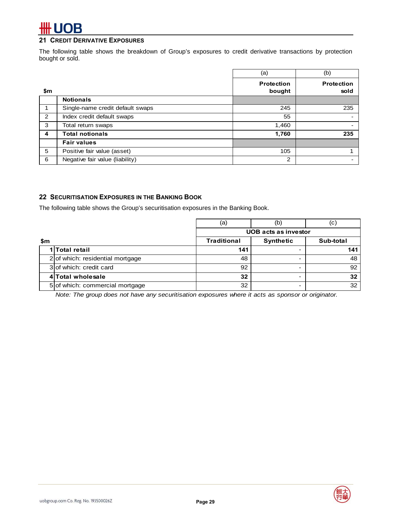# **OB**

### **21 CREDIT DERIVATIVE EXPOSURES**

The following table shows the breakdown of Group's exposures to credit derivative transactions by protection bought or sold.

|     |                                  | (a)                  | (b)                       |
|-----|----------------------------------|----------------------|---------------------------|
| \$m |                                  | Protection<br>bought | <b>Protection</b><br>sold |
|     | <b>Notionals</b>                 |                      |                           |
|     | Single-name credit default swaps | 245                  | 235                       |
| 2   | Index credit default swaps       | 55                   |                           |
| 3   | Total return swaps               | 1,460                |                           |
| 4   | <b>Total notionals</b>           | 1,760                | 235                       |
|     | <b>Fair values</b>               |                      |                           |
| 5   | Positive fair value (asset)      | 105                  |                           |
| 6   | Negative fair value (liability)  | $\overline{2}$       |                           |

#### **22 SECURITISATION EXPOSURES IN THE BANKING BOOK**

The following table shows the Group's securitisation exposures in the Banking Book.

|     |                                    | (a)                | (b)                         | (c) |  |
|-----|------------------------------------|--------------------|-----------------------------|-----|--|
|     |                                    |                    | <b>UOB</b> acts as investor |     |  |
| \$m |                                    | <b>Traditional</b> | Sub-total                   |     |  |
|     | 1 Total retail                     | 141                |                             | 141 |  |
|     | $2$ of which: residential mortgage | 48                 |                             | 48  |  |
|     | 3 of which: credit card            | 92                 |                             | 92  |  |
|     | 4 Total wholesale                  | 32                 |                             | 32  |  |
|     | 5 of which: commercial mortgage    | 32                 |                             | 32  |  |

*Note: The group does not have any securitisation exposures where it acts as sponsor or originator.*

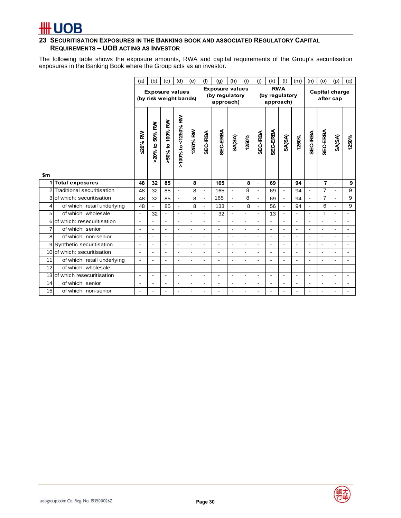### **23 SECURITISATION EXPOSURES IN THE BANKING BOOK AND ASSOCIATED REGULATORY CAPITAL REQUIREMENTS – UOB ACTING AS INVESTOR**

The following table shows the exposure amounts, RWA and capital requirements of the Group's securitisation exposures in the Banking Book where the Group acts as an investor.

|                |                             | (a)                      | (b)                                              | (c)                      | (d)                      | (e)                                                   | (f)                      | (g)                      | (h)                                       | (i)                      | (i)                      | (k)                      | (1)                         | (m)                      | (n)                      | (p)<br>(0)               |                          | (q)                      |
|----------------|-----------------------------|--------------------------|--------------------------------------------------|--------------------------|--------------------------|-------------------------------------------------------|--------------------------|--------------------------|-------------------------------------------|--------------------------|--------------------------|--------------------------|-----------------------------|--------------------------|--------------------------|--------------------------|--------------------------|--------------------------|
|                |                             |                          | <b>Exposure values</b><br>(by risk weight bands) |                          |                          | <b>Exposure values</b><br>(by regulatory<br>approach) |                          |                          | <b>RWA</b><br>(by regulatory<br>approach) |                          |                          |                          | Capital charge<br>after cap |                          |                          |                          |                          |                          |
|                |                             | <b>\$20% RW</b>          | >20% to 50% RW                                   | >50% to 100% RW          | >100% to <1250% RW       | 1250% RW                                              | <b>SEC-IRBA</b>          | SEC-ERBA                 | SA(SA)                                    | 1250%                    | <b>SEC-IRBA</b>          | SEC-ERBA                 | <b>SA(SA)</b>               | 1250%                    | <b>SEC-IRBA</b>          | <b>SEC-ERBA</b>          | SA(SA)                   | 1250%                    |
| \$m<br>1       | <b>Total exposures</b>      | 48                       | 32                                               | 85                       | $\blacksquare$           | 8                                                     | $\blacksquare$           | 165                      | $\blacksquare$                            | 8                        | $\blacksquare$           | 69                       | $\blacksquare$              | 94                       | $\blacksquare$           | $\overline{7}$           | $\overline{\phantom{a}}$ | 9                        |
| $\overline{2}$ | Traditional securitisation  | 48                       | 32                                               | 85                       | $\overline{a}$           | 8                                                     | $\overline{\phantom{a}}$ | 165                      | $\blacksquare$                            | 8                        |                          | 69                       | $\blacksquare$              | 94                       | L.                       | $\overline{7}$           | $\overline{a}$           | 9                        |
| 3              | of which: securitisation    | 48                       | 32                                               | 85                       | $\blacksquare$           | 8                                                     | $\blacksquare$           | 165                      | $\blacksquare$                            | 8                        | $\mathbf{r}$             | 69                       | $\blacksquare$              | 94                       | $\blacksquare$           | $\overline{7}$           | $\overline{a}$           | 9                        |
| 4              | of which: retail underlying | 48                       | $\overline{\phantom{a}}$                         | 85                       | $\overline{\phantom{a}}$ | 8                                                     | $\overline{\phantom{a}}$ | 133                      | $\overline{\phantom{a}}$                  | 8                        | $\overline{\phantom{a}}$ | 56                       | $\overline{\phantom{a}}$    | 94                       | $\overline{\phantom{a}}$ | 6                        | $\overline{\phantom{a}}$ | 9                        |
| 5 <sup>1</sup> | of which: wholesale         | $\blacksquare$           | 32                                               | $\blacksquare$           | $\overline{\phantom{a}}$ | $\overline{a}$                                        | $\blacksquare$           | 32                       | $\blacksquare$                            | $\overline{\phantom{a}}$ | $\blacksquare$           | 13                       | $\blacksquare$              | $\overline{\phantom{0}}$ | $\blacksquare$           | 1                        | $\blacksquare$           | $\blacksquare$           |
| 6              | of which: resecuritisation  | $\overline{\phantom{a}}$ | L,                                               | $\blacksquare$           | $\blacksquare$           | $\blacksquare$                                        | $\overline{\phantom{a}}$ |                          | $\blacksquare$                            | $\blacksquare$           | $\blacksquare$           | $\blacksquare$           | $\blacksquare$              | $\overline{\phantom{0}}$ | $\overline{\phantom{a}}$ | $\overline{a}$           | $\overline{\phantom{a}}$ | $\overline{\phantom{a}}$ |
| 7              | of which: senior            | $\overline{\phantom{a}}$ | $\overline{\phantom{0}}$                         | $\blacksquare$           | $\overline{\phantom{a}}$ | $\overline{\phantom{a}}$                              | $\blacksquare$           | $\overline{\phantom{a}}$ | $\blacksquare$                            | $\overline{\phantom{a}}$ | $\overline{\phantom{a}}$ | $\blacksquare$           | $\blacksquare$              | $\overline{\phantom{0}}$ | $\blacksquare$           | $\blacksquare$           | $\overline{\phantom{a}}$ | $\blacksquare$           |
| 8              | of which: non-senior        | $\overline{\phantom{a}}$ | ٠                                                | $\overline{\phantom{a}}$ | $\blacksquare$           | $\overline{\phantom{a}}$                              | $\blacksquare$           | $\overline{\phantom{a}}$ | $\blacksquare$                            | $\blacksquare$           | $\overline{\phantom{a}}$ | $\overline{\phantom{a}}$ | $\blacksquare$              | $\overline{a}$           | $\overline{\phantom{a}}$ | $\blacksquare$           | $\blacksquare$           | $\overline{\phantom{a}}$ |
| 9              | Synthetic securitisation    | $\overline{\phantom{a}}$ | ÷,                                               | $\blacksquare$           | $\blacksquare$           | $\blacksquare$                                        | $\blacksquare$           | $\blacksquare$           | $\blacksquare$                            | $\overline{\phantom{a}}$ | $\sim$                   | $\blacksquare$           | $\blacksquare$              | $\blacksquare$           | $\blacksquare$           | $\blacksquare$           | $\blacksquare$           | $\blacksquare$           |
| 10             | of which: securitisation    | $\overline{\phantom{a}}$ | ٠                                                | $\blacksquare$           | $\blacksquare$           | $\overline{\phantom{a}}$                              | $\overline{\phantom{a}}$ |                          | $\overline{a}$                            | $\overline{\phantom{a}}$ | $\overline{\phantom{a}}$ | $\blacksquare$           | $\blacksquare$              | $\overline{a}$           | $\overline{\phantom{a}}$ | $\overline{\phantom{a}}$ | $\blacksquare$           | $\overline{\phantom{a}}$ |
| 11             | of which: retail underlying | $\blacksquare$           | $\overline{\phantom{0}}$                         | $\blacksquare$           | $\blacksquare$           | $\blacksquare$                                        | $\blacksquare$           | $\overline{\phantom{a}}$ | $\blacksquare$                            | $\overline{\phantom{a}}$ | $\blacksquare$           | $\overline{\phantom{a}}$ | $\blacksquare$              | $\overline{\phantom{0}}$ | $\blacksquare$           | $\overline{a}$           | $\blacksquare$           | $\blacksquare$           |
| 12             | of which: wholesale         | $\overline{\phantom{a}}$ | $\overline{\phantom{0}}$                         | $\blacksquare$           | $\blacksquare$           | $\blacksquare$                                        | $\blacksquare$           | $\overline{\phantom{a}}$ | $\blacksquare$                            | $\overline{\phantom{a}}$ | $\overline{\phantom{a}}$ | $\overline{\phantom{a}}$ | $\blacksquare$              | $\overline{\phantom{0}}$ | $\blacksquare$           | $\blacksquare$           | $\overline{\phantom{a}}$ | $\blacksquare$           |
| 13             | of which resecuritisation   | $\blacksquare$           | L,                                               | $\overline{\phantom{a}}$ | $\overline{\phantom{a}}$ | $\overline{a}$                                        | $\overline{a}$           | $\overline{\phantom{a}}$ | $\overline{\phantom{a}}$                  |                          |                          | $\overline{\phantom{a}}$ | $\overline{a}$              | L,                       | $\overline{\phantom{a}}$ | ÷.                       | $\overline{a}$           | $\overline{a}$           |
| 14             | of which: senior            | $\overline{\phantom{a}}$ | ÷,                                               | $\blacksquare$           | $\overline{\phantom{a}}$ | $\overline{\phantom{a}}$                              | $\overline{\phantom{a}}$ | $\overline{\phantom{a}}$ | $\overline{\phantom{a}}$                  | $\blacksquare$           | $\overline{\phantom{a}}$ | $\overline{\phantom{a}}$ | $\overline{a}$              | $\overline{\phantom{0}}$ | $\overline{\phantom{a}}$ | $\overline{\phantom{a}}$ | $\overline{\phantom{a}}$ | $\overline{\phantom{a}}$ |
| 15             | of which: non-senior        | $\blacksquare$           |                                                  | $\overline{\phantom{a}}$ | $\overline{\phantom{a}}$ | $\blacksquare$                                        |                          |                          |                                           |                          | $\overline{\phantom{a}}$ | $\blacksquare$           | $\blacksquare$              | -                        | $\overline{\phantom{a}}$ |                          | $\blacksquare$           |                          |

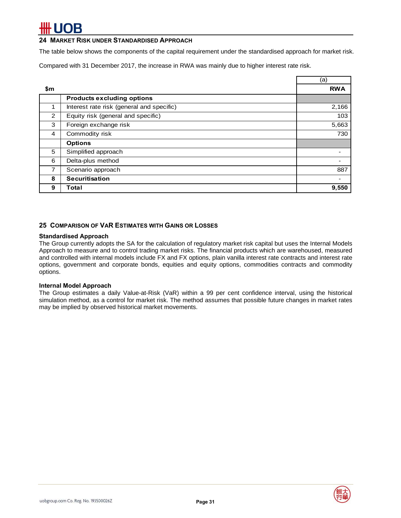### **24 MARKET RISK UNDER STANDARDISED APPROACH**

The table below shows the components of the capital requirement under the standardised approach for market risk.

Compared with 31 December 2017, the increase in RWA was mainly due to higher interest rate risk.

|     |                                           | (a)        |
|-----|-------------------------------------------|------------|
| \$m |                                           | <b>RWA</b> |
|     | <b>Products excluding options</b>         |            |
|     | Interest rate risk (general and specific) | 2,166      |
| 2   | Equity risk (general and specific)        | 103        |
| 3   | Foreign exchange risk                     | 5,663      |
| 4   | Commodity risk                            | 730        |
|     | <b>Options</b>                            |            |
| 5   | Simplified approach                       |            |
| 6   | Delta-plus method                         |            |
| 7   | Scenario approach                         | 887        |
| 8   | <b>Securitisation</b>                     |            |
| 9   | Total                                     | 9,550      |

### **25 COMPARISON OF VAR ESTIMATES WITH GAINS OR LOSSES**

#### **Standardised Approach**

The Group currently adopts the SA for the calculation of regulatory market risk capital but uses the Internal Models Approach to measure and to control trading market risks. The financial products which are warehoused, measured and controlled with internal models include FX and FX options, plain vanilla interest rate contracts and interest rate options, government and corporate bonds, equities and equity options, commodities contracts and commodity options.

#### **Internal Model Approach**

The Group estimates a daily Value-at-Risk (VaR) within a 99 per cent confidence interval, using the historical simulation method, as a control for market risk. The method assumes that possible future changes in market rates may be implied by observed historical market movements.

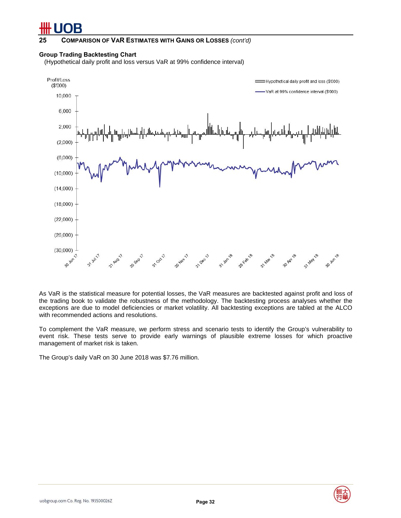#### **25 COMPARISON OF VAR ESTIMATES WITH GAINS OR LOSSES** *(cont'd)*

#### **Group Trading Backtesting Chart**

(Hypothetical daily profit and loss versus VaR at 99% confidence interval)



As VaR is the statistical measure for potential losses, the VaR measures are backtested against profit and loss of the trading book to validate the robustness of the methodology. The backtesting process analyses whether the exceptions are due to model deficiencies or market volatility. All backtesting exceptions are tabled at the ALCO with recommended actions and resolutions.

To complement the VaR measure, we perform stress and scenario tests to identify the Group's vulnerability to event risk. These tests serve to provide early warnings of plausible extreme losses for which proactive management of market risk is taken.

The Group's daily VaR on 30 June 2018 was \$7.76 million.

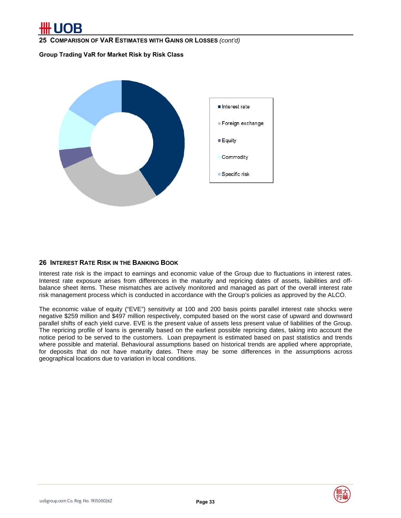**25 COMPARISON OF VAR ESTIMATES WITH GAINS OR LOSSES** *(cont'd)*

**Group Trading VaR for Market Risk by Risk Class** 



### **26 INTEREST RATE RISK IN THE BANKING BOOK**

Interest rate risk is the impact to earnings and economic value of the Group due to fluctuations in interest rates. Interest rate exposure arises from differences in the maturity and repricing dates of assets, liabilities and offbalance sheet items. These mismatches are actively monitored and managed as part of the overall interest rate risk management process which is conducted in accordance with the Group's policies as approved by the ALCO.

The economic value of equity ("EVE") sensitivity at 100 and 200 basis points parallel interest rate shocks were negative \$259 million and \$497 million respectively, computed based on the worst case of upward and downward parallel shifts of each yield curve. EVE is the present value of assets less present value of liabilities of the Group. The repricing profile of loans is generally based on the earliest possible repricing dates, taking into account the notice period to be served to the customers. Loan prepayment is estimated based on past statistics and trends where possible and material. Behavioural assumptions based on historical trends are applied where appropriate, for deposits that do not have maturity dates. There may be some differences in the assumptions across geographical locations due to variation in local conditions.

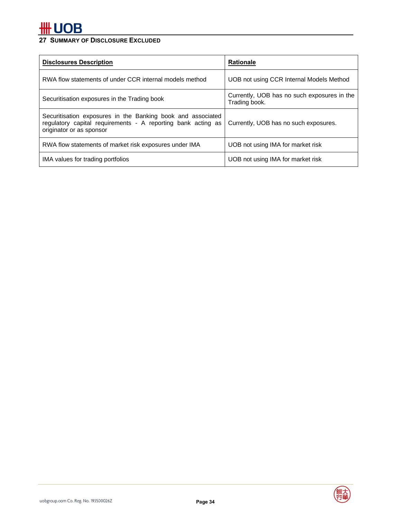## **27 SUMMARY OF DISCLOSURE EXCLUDED**

| <b>Disclosures Description</b>                                                                                                                          | <b>Rationale</b>                                             |  |
|---------------------------------------------------------------------------------------------------------------------------------------------------------|--------------------------------------------------------------|--|
| RWA flow statements of under CCR internal models method                                                                                                 | UOB not using CCR Internal Models Method                     |  |
| Securitisation exposures in the Trading book                                                                                                            | Currently, UOB has no such exposures in the<br>Trading book. |  |
| Securitisation exposures in the Banking book and associated<br>regulatory capital requirements - A reporting bank acting as<br>originator or as sponsor | Currently, UOB has no such exposures.                        |  |
| RWA flow statements of market risk exposures under IMA                                                                                                  | UOB not using IMA for market risk                            |  |
| IMA values for trading portfolios                                                                                                                       | UOB not using IMA for market risk                            |  |

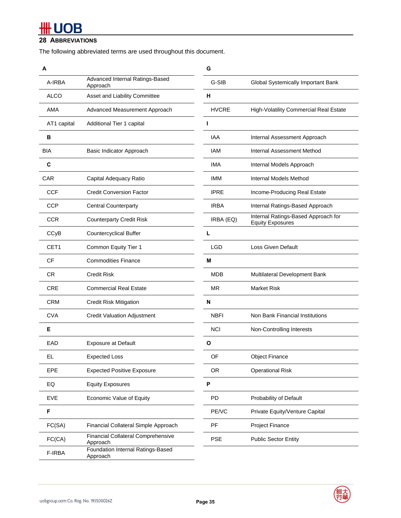## **28 ABBREVIATIONS**

The following abbreviated terms are used throughout this document.

| А                |                                                       | G            |                                                                |
|------------------|-------------------------------------------------------|--------------|----------------------------------------------------------------|
| A-IRBA           | Advanced Internal Ratings-Based<br>Approach           | G-SIB        | Global Systemically Important Bank                             |
| <b>ALCO</b>      | Asset and Liability Committee                         | н            |                                                                |
| AMA              | Advanced Measurement Approach                         | <b>HVCRE</b> | High-Volatility Commercial Real Estate                         |
| AT1 capital      | Additional Tier 1 capital                             | ı            |                                                                |
| в                |                                                       | <b>IAA</b>   | Internal Assessment Approach                                   |
| <b>BIA</b>       | Basic Indicator Approach                              | <b>IAM</b>   | Internal Assessment Method                                     |
| C                |                                                       | <b>IMA</b>   | Internal Models Approach                                       |
| <b>CAR</b>       | Capital Adequacy Ratio                                | <b>IMM</b>   | Internal Models Method                                         |
| CCF              | <b>Credit Conversion Factor</b>                       | <b>IPRE</b>  | Income-Producing Real Estate                                   |
| <b>CCP</b>       | <b>Central Counterparty</b>                           | <b>IRBA</b>  | Internal Ratings-Based Approach                                |
| <b>CCR</b>       | <b>Counterparty Credit Risk</b>                       | IRBA (EQ)    | Internal Ratings-Based Approach for<br><b>Equity Exposures</b> |
| CCyB             | <b>Countercyclical Buffer</b>                         | L            |                                                                |
| CET <sub>1</sub> | Common Equity Tier 1                                  | <b>LGD</b>   | Loss Given Default                                             |
| CF               | <b>Commodities Finance</b>                            | М            |                                                                |
| <b>CR</b>        | <b>Credit Risk</b>                                    | <b>MDB</b>   | Multilateral Development Bank                                  |
| <b>CRE</b>       | <b>Commercial Real Estate</b>                         | <b>MR</b>    | <b>Market Risk</b>                                             |
| <b>CRM</b>       | <b>Credit Risk Mitigation</b>                         | N            |                                                                |
| <b>CVA</b>       | <b>Credit Valuation Adjustment</b>                    | <b>NBFI</b>  | Non Bank Financial Institutions                                |
| Е                |                                                       | <b>NCI</b>   | Non-Controlling Interests                                      |
| EAD              | <b>Exposure at Default</b>                            | О            |                                                                |
| EL               | Expected Loss                                         | OF           | <b>Object Finance</b>                                          |
| <b>EPE</b>       | <b>Expected Positive Exposure</b>                     | <b>OR</b>    | <b>Operational Risk</b>                                        |
| EQ               | <b>Equity Exposures</b>                               | P            |                                                                |
| EVE              | Economic Value of Equity                              | PD           | Probability of Default                                         |
| F                |                                                       | PE/VC        | Private Equity/Venture Capital                                 |
| FC(SA)           | Financial Collateral Simple Approach                  | PF           | Project Finance                                                |
| FC(CA)           | <b>Financial Collateral Comprehensive</b><br>Approach | <b>PSE</b>   | <b>Public Sector Entity</b>                                    |
| F-IRBA           | Foundation Internal Ratings-Based<br>Approach         |              |                                                                |
|                  |                                                       |              |                                                                |

|                                                       | G            |                                                                |
|-------------------------------------------------------|--------------|----------------------------------------------------------------|
| Advanced Internal Ratings-Based<br>Approach           | G-SIB        | <b>Global Systemically Important Bank</b>                      |
| Asset and Liability Committee                         | н            |                                                                |
| Advanced Measurement Approach                         | <b>HVCRE</b> | High-Volatility Commercial Real Estate                         |
| Additional Tier 1 capital                             | Т            |                                                                |
|                                                       | <b>IAA</b>   | Internal Assessment Approach                                   |
| Basic Indicator Approach                              | <b>IAM</b>   | Internal Assessment Method                                     |
|                                                       | <b>IMA</b>   | Internal Models Approach                                       |
| Capital Adequacy Ratio                                | IMM          | Internal Models Method                                         |
| <b>Credit Conversion Factor</b>                       | <b>IPRE</b>  | Income-Producing Real Estate                                   |
| <b>Central Counterparty</b>                           | <b>IRBA</b>  | Internal Ratings-Based Approach                                |
| <b>Counterparty Credit Risk</b>                       | IRBA (EQ)    | Internal Ratings-Based Approach for<br><b>Equity Exposures</b> |
| <b>Countercyclical Buffer</b>                         | L            |                                                                |
| Common Equity Tier 1                                  | <b>LGD</b>   | Loss Given Default                                             |
| <b>Commodities Finance</b>                            | м            |                                                                |
| Credit Risk                                           | MDB          | Multilateral Development Bank                                  |
| Commercial Real Estate                                | MR           | <b>Market Risk</b>                                             |
| Credit Risk Mitigation                                | N            |                                                                |
| <b>Credit Valuation Adjustment</b>                    | <b>NBFI</b>  | Non Bank Financial Institutions                                |
|                                                       | <b>NCI</b>   | Non-Controlling Interests                                      |
| <b>Exposure at Default</b>                            | O            |                                                                |
| <b>Expected Loss</b>                                  | OF           | <b>Object Finance</b>                                          |
| <b>Expected Positive Exposure</b>                     | 0R           | <b>Operational Risk</b>                                        |
| <b>Equity Exposures</b>                               | P            |                                                                |
| Economic Value of Equity                              | PD           | Probability of Default                                         |
|                                                       | PE/VC        | Private Equity/Venture Capital                                 |
| Financial Collateral Simple Approach                  | PF           | <b>Project Finance</b>                                         |
| <b>Financial Collateral Comprehensive</b><br>Approach | <b>PSE</b>   | <b>Public Sector Entity</b>                                    |
| n Internal Detinge Pesed                              |              |                                                                |